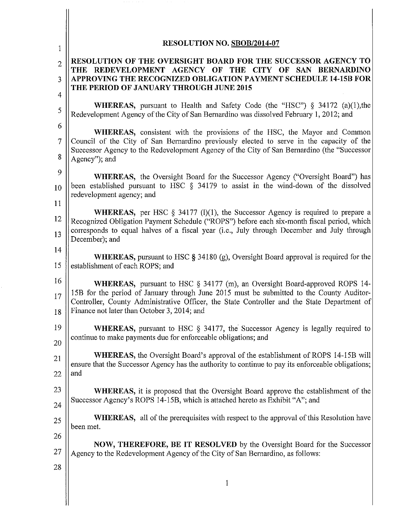| <b>RESOLUTION NO. SBOB/2014-07</b>                                                                                                                                                                                                                                            |
|-------------------------------------------------------------------------------------------------------------------------------------------------------------------------------------------------------------------------------------------------------------------------------|
| RESOLUTION OF THE OVERSIGHT BOARD FOR THE SUCCESSOR AGENCY TO                                                                                                                                                                                                                 |
| THE REDEVELOPMENT AGENCY OF THE<br>CITY OF SAN<br><b>BERNARDINO</b><br>APPROVING THE RECOGNIZED OBLIGATION PAYMENT SCHEDULE 14-15B FOR                                                                                                                                        |
| THE PERIOD OF JANUARY THROUGH JUNE 2015                                                                                                                                                                                                                                       |
| <b>WHEREAS</b> , pursuant to Health and Safety Code (the "HSC") $\S$ 34172 (a)(1), the<br>Redevelopment Agency of the City of San Bernardino was dissolved February 1, 2012; and                                                                                              |
| <b>WHEREAS</b> , consistent with the provisions of the HSC, the Mayor and Common                                                                                                                                                                                              |
| Council of the City of San Bernardino previously elected to serve in the capacity of the<br>Successor Agency to the Redevelopment Agency of the City of San Bernardino (the "Successor                                                                                        |
|                                                                                                                                                                                                                                                                               |
| <b>WHEREAS</b> , the Oversight Board for the Successor Agency ("Oversight Board") has<br>been established pursuant to HSC $\S$ 34179 to assist in the wind-down of the dissolved                                                                                              |
| redevelopment agency; and                                                                                                                                                                                                                                                     |
| <b>WHEREAS</b> , per HSC $\S$ 34177 (l)(1), the Successor Agency is required to prepare a                                                                                                                                                                                     |
| Recognized Obligation Payment Schedule ("ROPS") before each six-month fiscal period, which<br>corresponds to equal halves of a fiscal year (i.e., July through December and July through                                                                                      |
| <b>WHEREAS</b> , pursuant to HSC $\S$ 34180 (g), Oversight Board approval is required for the<br>establishment of each ROPS; and                                                                                                                                              |
|                                                                                                                                                                                                                                                                               |
| <b>WHEREAS</b> , pursuant to HSC § 34177 (m), an Oversight Board-approved ROPS 14-<br>15B for the period of January through June 2015 must be submitted to the County Auditor-<br>Controller, County Administrative Officer, the State Controller and the State Department of |
| Finance not later than October 3, 2014; and                                                                                                                                                                                                                                   |
| <b>WHEREAS</b> , pursuant to HSC $\S$ 34177, the Successor Agency is legally required to<br>continue to make payments due for enforceable obligations; and                                                                                                                    |
| <b>WHEREAS</b> , the Oversight Board's approval of the establishment of ROPS 14-15B will                                                                                                                                                                                      |
| ensure that the Successor Agency has the authority to continue to pay its enforceable obligations;                                                                                                                                                                            |
| <b>WHEREAS</b> , it is proposed that the Oversight Board approve the establishment of the                                                                                                                                                                                     |
| Successor Agency's ROPS 14-15B, which is attached hereto as Exhibit "A"; and                                                                                                                                                                                                  |
| <b>WHEREAS,</b> all of the prerequisites with respect to the approval of this Resolution have                                                                                                                                                                                 |
| NOW, THEREFORE, BE IT RESOLVED by the Oversight Board for the Successor                                                                                                                                                                                                       |
| Agency to the Redevelopment Agency of the City of San Bernardino, as follows:                                                                                                                                                                                                 |
|                                                                                                                                                                                                                                                                               |
|                                                                                                                                                                                                                                                                               |

 $\parallel$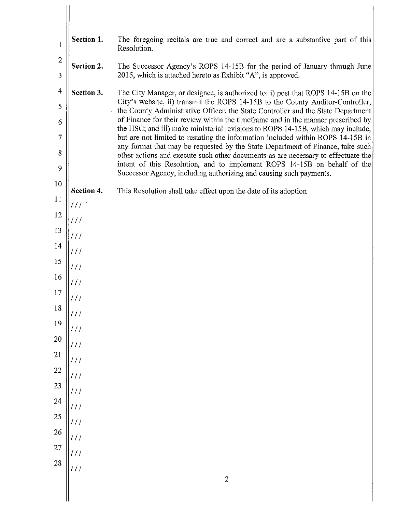| $\mathbf{1}$                                                                                                                               | Section 1.                                                                                                                                 | The foregoing recitals are true and correct and are a substantive part of this<br>Resolution.                                                                                                                                                                                                                                                                                                                                                                                                                                                                                                                                                                                                                                                                                                                                                                                                                |
|--------------------------------------------------------------------------------------------------------------------------------------------|--------------------------------------------------------------------------------------------------------------------------------------------|--------------------------------------------------------------------------------------------------------------------------------------------------------------------------------------------------------------------------------------------------------------------------------------------------------------------------------------------------------------------------------------------------------------------------------------------------------------------------------------------------------------------------------------------------------------------------------------------------------------------------------------------------------------------------------------------------------------------------------------------------------------------------------------------------------------------------------------------------------------------------------------------------------------|
| $\overline{c}$<br>3                                                                                                                        | Section 2.                                                                                                                                 | The Successor Agency's ROPS 14-15B for the period of January through June<br>2015, which is attached hereto as Exhibit "A", is approved.                                                                                                                                                                                                                                                                                                                                                                                                                                                                                                                                                                                                                                                                                                                                                                     |
| $\overline{4}$<br>5<br>6<br>7<br>8<br>9<br>10<br>11<br>12<br>13<br>14<br>15<br>16<br>17<br>$18\,$<br>19<br>$20\,$<br>21<br><b>22</b><br>23 | Section 3.<br>Section 4.<br>111<br>///<br>///<br>///<br>111<br>$\frac{1}{2}$<br>111<br>$\frac{1}{2}$<br>$\frac{1}{2}$<br>111<br>111<br>111 | The City Manager, or designee, is authorized to: i) post that ROPS 14-15B on the<br>City's website, ii) transmit the ROPS 14-15B to the County Auditor-Controller,<br>the County Administrative Officer, the State Controller and the State Department<br>of Finance for their review within the timeframe and in the manner prescribed by<br>the HSC; and iii) make ministerial revisions to ROPS 14-15B, which may include,<br>but are not limited to restating the information included within ROPS 14-15B in<br>any format that may be requested by the State Department of Finance, take such<br>other actions and execute such other documents as are necessary to effectuate the<br>intent of this Resolution, and to implement ROPS 14-15B on behalf of the<br>Successor Agency, including authorizing and causing such payments.<br>This Resolution shall take effect upon the date of its adoption |
| 24<br>25                                                                                                                                   | $\frac{1}{2}$<br>111                                                                                                                       |                                                                                                                                                                                                                                                                                                                                                                                                                                                                                                                                                                                                                                                                                                                                                                                                                                                                                                              |
| 26<br>27                                                                                                                                   | 111<br>111                                                                                                                                 |                                                                                                                                                                                                                                                                                                                                                                                                                                                                                                                                                                                                                                                                                                                                                                                                                                                                                                              |
| 28                                                                                                                                         | 111                                                                                                                                        | $\overline{2}$                                                                                                                                                                                                                                                                                                                                                                                                                                                                                                                                                                                                                                                                                                                                                                                                                                                                                               |

 $\frac{1}{2}$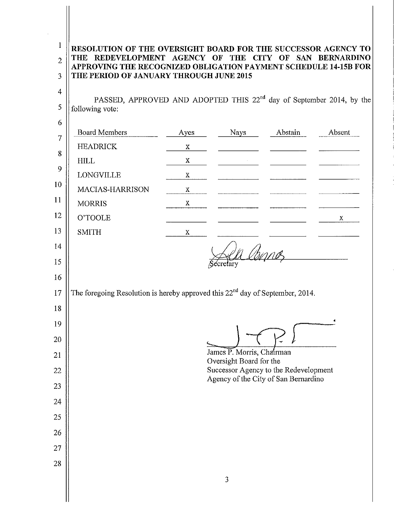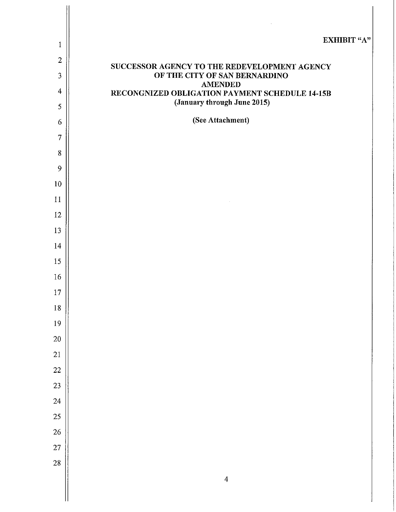| $\mathbf{1}$   | <b>EXHIBIT "A"</b>                                                            |
|----------------|-------------------------------------------------------------------------------|
| $\overline{2}$ |                                                                               |
| 3              | SUCCESSOR AGENCY TO THE REDEVELOPMENT AGENCY<br>OF THE CITY OF SAN BERNARDINO |
| $\overline{4}$ | <b>AMENDED</b>                                                                |
| 5              | RECONGNIZED OBLIGATION PAYMENT SCHEDULE 14-15B<br>(January through June 2015) |
| 6              | (See Attachment)                                                              |
| $\overline{7}$ |                                                                               |
| 8              |                                                                               |
| 9              |                                                                               |
| 10             |                                                                               |
| 11             |                                                                               |
| 12             |                                                                               |
| 13             |                                                                               |
| 14             |                                                                               |
| 15             |                                                                               |
| 16             |                                                                               |
| $17\,$         |                                                                               |
| $18\,$         |                                                                               |
| 19             |                                                                               |
| $20\,$         |                                                                               |
| 21             |                                                                               |
| 22             |                                                                               |
| 23             |                                                                               |
| 24             |                                                                               |
| 25             |                                                                               |
| 26             |                                                                               |
| 27             |                                                                               |
| 28             |                                                                               |
|                | $\overline{4}$                                                                |

 $\mathbb{I}$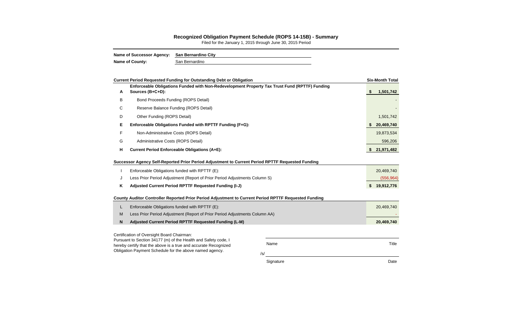Name Title

/s/

Signature Date Date Date

# **Recognized Obligation Payment Schedule (ROPS 14-15B) - Summary**

|              | <b>Current Period Requested Funding for Outstanding Debt or Obligation</b>                                        |    | <b>Six-Month Total</b> |
|--------------|-------------------------------------------------------------------------------------------------------------------|----|------------------------|
| A            | Enforceable Obligations Funded with Non-Redevelopment Property Tax Trust Fund (RPTTF) Funding<br>Sources (B+C+D): | S. | 1,501,742              |
| B            | <b>Bond Proceeds Funding (ROPS Detail)</b>                                                                        |    |                        |
| С            | Reserve Balance Funding (ROPS Detail)                                                                             |    |                        |
| D            | Other Funding (ROPS Detail)                                                                                       |    | 1,501,742              |
| Е            | Enforceable Obligations Funded with RPTTF Funding (F+G):                                                          |    | 20,469,740             |
| F            | Non-Administrative Costs (ROPS Detail)                                                                            |    | 19,873,534             |
| G            | Administrative Costs (ROPS Detail)                                                                                |    | 596,206                |
| н            | <b>Current Period Enforceable Obligations (A+E):</b>                                                              |    | 21,971,482             |
|              | Successor Agency Self-Reported Prior Period Adjustment to Current Period RPTTF Requested Funding                  |    |                        |
|              | Enforceable Obligations funded with RPTTF (E):                                                                    |    | 20,469,740             |
| J            | Less Prior Period Adjustment (Report of Prior Period Adjustments Column S)                                        |    | (556, 964)             |
| K            | Adjusted Current Period RPTTF Requested Funding (I-J)                                                             | \$ | 19,912,776             |
|              | County Auditor Controller Reported Prior Period Adjustment to Current Period RPTTF Requested Funding              |    |                        |
|              | Enforceable Obligations funded with RPTTF (E):                                                                    |    | 20,469,740             |
| M            | Less Prior Period Adjustment (Report of Prior Period Adjustments Column AA)                                       |    |                        |
| $\mathsf{N}$ | Adjusted Current Period RPTTF Requested Funding (L-M)                                                             |    | 20,469,740             |
|              | Certification of Oversight Board Chairman:                                                                        |    |                        |

Filed for the January 1, 2015 through June 30, 2015 Period

| <b>Name of Successor Agency:</b> | San Bernardino City |
|----------------------------------|---------------------|
| <b>Name of County:</b>           | San Bernardino      |

Certification of Oversight Board Chairman:

Pursuant to Section 34177 (m) of the Health and Safety code, I hereby certify that the above is a true and accurate Recognized Obligation Payment Schedule for the above named agency.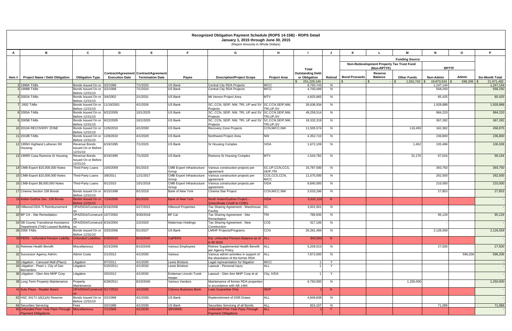|   |                                                                   |                                                            |                       |                                                                  |                                           | Recognized Obligation Payment Schedule (ROPS 14-15B) - ROPS Detail<br>January 1, 2015 through June 30, 2015<br>(Report Amounts in Whole Dollars) |                              |                                          |          |                      |                                           |                        |                      |              |                        |
|---|-------------------------------------------------------------------|------------------------------------------------------------|-----------------------|------------------------------------------------------------------|-------------------------------------------|--------------------------------------------------------------------------------------------------------------------------------------------------|------------------------------|------------------------------------------|----------|----------------------|-------------------------------------------|------------------------|----------------------|--------------|------------------------|
| A | B                                                                 | C                                                          | D                     | E.                                                               |                                           | G                                                                                                                                                | н                            |                                          |          |                      |                                           | м                      | N                    | $\mathbf{o}$ | P                      |
|   |                                                                   |                                                            |                       |                                                                  |                                           |                                                                                                                                                  |                              |                                          |          |                      |                                           | <b>Funding Source</b>  |                      |              |                        |
|   |                                                                   |                                                            |                       |                                                                  |                                           |                                                                                                                                                  |                              |                                          |          |                      | Non-Redevelopment Property Tax Trust Fund |                        |                      |              |                        |
|   |                                                                   |                                                            |                       |                                                                  |                                           |                                                                                                                                                  |                              | <b>Total</b>                             |          |                      | (Non-RPTTF)                               |                        | <b>RPTTF</b>         |              |                        |
|   | Item #   Project Name / Debt Obligation                           | <b>Obligation Type</b>                                     | <b>Execution Date</b> | Contract/Agreement Contract/Agreement<br><b>Termination Date</b> | Payee                                     | <b>Description/Project Scope</b>                                                                                                                 | <b>Project Area</b>          | <b>Outstanding Debt</b><br>or Obligation | Retired  | <b>Bond Proceeds</b> | Reserve<br><b>Balance</b>                 | <b>Other Funds</b>     | Non-Admin            | <b>Admin</b> | <b>Six-Month Total</b> |
|   |                                                                   |                                                            |                       |                                                                  |                                           |                                                                                                                                                  |                              | \$251,229,149                            |          |                      | l S                                       | $1,501,742$ \$<br>l SS | $19,873,534$ \$      | 596,206      | 21,971,482             |
|   | 1998A TABs<br>1998B TABs                                          | Bonds Issued On or 3/2/1998<br>Bonds Issued On or 3/2/1998 |                       | 7/1/2020<br>7/1/2020                                             | <b>US Bank</b><br><b>US Bank</b>          | Central City RDA Projects<br><b>Central City RDA Projects</b>                                                                                    | M/CC<br>M/CC                 | 8,750,743<br>4,700,499                   | N.<br>N. |                      |                                           |                        | 1,247,144<br>558,250 |              | 1,247,144<br>558,250   |
|   | 6 2002A TABS                                                      | Before 12/31/10<br>Bonds Issued On or 3/4/2002             |                       | 2/1/2031                                                         | <b>US Bank</b>                            | Mt Vernon Project Area                                                                                                                           | <b>MTV</b>                   | 4,825,665                                | N        |                      |                                           |                        | 85,425               |              | 85,425                 |
|   |                                                                   | Before 12/31/10                                            |                       |                                                                  |                                           |                                                                                                                                                  |                              |                                          |          |                      |                                           |                        |                      |              |                        |
|   | $\frac{1}{2002}$ TABs                                             | Bonds Issued On or 11/19/2001<br>Before 12/31/10           |                       | 4/1/2026                                                         | <b>US Bank</b>                            | SC, CCN, SEIP, NW, TRI, UP and SV SC, CCN, SEIP, NW,<br>Projects                                                                                 | TRI, UP, SV                  | 26,636,934                               | N.       |                      |                                           |                        | 1,928,888            |              | 1,928,888              |
|   | 8 2005A TABS                                                      | Bonds Issued On or 9/22/2005<br>Before 12/31/10            |                       | 10/1/2025                                                        | <b>US Bank</b>                            | SC, CCN, SEIP, NW, TRI, UP and SV SC, CCN, SEIP, NW,                                                                                             |                              | 49,259,514                               | N.       |                      |                                           |                        | 984,220              |              | 984,220                |
|   | 9 2005B TABS                                                      | Bonds Issued On or 9/22/2005                               |                       | 10/1/2025                                                        | <b>US Bank</b>                            | Projects<br>SC, CCN, SEIP, NW, TRI, UP and SV SC, CCN, SEIP, NW,                                                                                 | TRI,UP,SV                    | 18,332,319                               | N        |                      |                                           |                        | 367,282              |              | 367,282                |
|   | 10 2010A RECOVERY ZONE                                            | Before 12/31/10<br>Bonds Issued On or 12/6/2010            |                       | 4/1/2030                                                         | <b>US Bank</b>                            | Projects<br>Recovery Zone Projects                                                                                                               | TRI, UP, SV<br>CCN, M/CC, NW | 11,505,574                               | N.       |                      |                                           | 116,493                | 342,382              |              | 458,875                |
|   |                                                                   | Before 12/31/10                                            |                       |                                                                  |                                           |                                                                                                                                                  |                              |                                          |          |                      |                                           |                        |                      |              |                        |
|   | 11 2010B TABS                                                     | Bonds Issued On or 12/6/2010<br>Before 12/31/10            |                       | 4/1/2028                                                         | <b>US Bank</b>                            | Northwest Project Area                                                                                                                           | <b>NW</b>                    | 4,352,710                                | N        |                      |                                           |                        | 236,800              |              | 236,800                |
|   | 12 1995H Highland Lutheran SR<br>Housing                          | Revenue Bonds<br>Issued On or Before<br>12/31/10           | 6/19/1995             | 7/1/2025                                                         | <b>US Bank</b>                            | <b>Sr Housing Complex</b>                                                                                                                        | <b>IVDA</b>                  | 1,672,109                                | N.       |                      |                                           | 1,452                  | 105,486              |              | 106,938                |
|   | 13 1995R Casa Ramona Sr Housing                                   | Revenue Bonds<br>Issued On or Before<br>12/31/10           | 6/19/1995             | 7/1/2025                                                         | <b>US Bank</b>                            | Ramona Sr Housing Complex                                                                                                                        | <b>MTV</b>                   | 1,544,782                                | N.       |                      |                                           | 31,170                 | 67,024               |              | 98,194                 |
|   | 14 CMB-Export \$15,000,000 Notes                                  | Third-Party Loans                                          | 10/5/2009             | 9/1/2015                                                         |                                           | CMB Export Infrastructure Various construction projects per                                                                                      | SC, UP, CCN, CCS,            | 15,787,500                               | N.       |                      |                                           |                        | 393,750              |              | 393,750                |
|   | 15 CMB-Export \$10,000,000 Notes                                  | Third-Party Loans                                          | 3/8/2011              | 12/1/2017                                                        | Group<br><b>CMB</b> Export Infrastructure | agreement<br>Various construction projects per                                                                                                   | SEIP, TRI<br>CCE,CCS,CCN,    | 11,575,000                               | N        |                      |                                           |                        | 262,500              |              | 262,500                |
|   | 16 CMB-Export \$8,000,000 Notes                                   | Third-Party Loans                                          | 9/1/2010              | 10/1/2016                                                        | Group<br><b>CMB Export Infrastructure</b> | agreement<br>Various construction projects per                                                                                                   | M/CC<br><b>IVDA</b>          | 8,840,000                                | N        |                      |                                           |                        | 210,000              |              | 210,000                |
|   |                                                                   |                                                            |                       |                                                                  | Group                                     | agreement                                                                                                                                        |                              |                                          |          |                      |                                           |                        |                      |              |                        |
|   | 17 Cinema Section 108 Bonds                                       | Bonds Issued On or 6/15/1998<br>Before 12/31/10            |                       | 8/1/2018                                                         | <b>Bank of New York</b>                   | Cinema Star Project                                                                                                                              | CCN, M/CC, NW                | 3,033,296                                | N.       |                      |                                           |                        | 27,853               |              | 27,853                 |
|   | 18 Arden-Guthrie Sec. 108 Bonds                                   | Bonds Issued On or 7/24/2006<br>Before 12/31/10            |                       | 8/1/2025                                                         | <b>Bank of New York</b>                   | North Arden/Guthire Project --<br><b>Subordinate Credit to CDBG</b>                                                                              | <b>IVDA</b>                  | 5,032,129                                | N        |                      |                                           |                        |                      |              |                        |
|   | 19 Hillwood-DDA TI Reimbursement                                  | OPA/DDA/Constructi 9/18/2006                               |                       | 4/27/2021                                                        | <b>Hillwood Properties</b>                | Tax Sharing Agreement - Warehouse<br>Facility                                                                                                    | <b>SC</b>                    | 3,001,561                                | N        |                      |                                           |                        |                      |              |                        |
|   | 20 BP CA - Site Remediation                                       | OPA/DDA/Constructi 10/7/2002                               |                       | 9/30/2018                                                        | <b>BP Cal</b>                             | Tax Sharing Agreement - Site                                                                                                                     | TRI                          | 789,935                                  | N        |                      |                                           |                        | 95,129               |              | 95,129                 |
|   | 24 SB County Transitional Assistance                              | on<br>OPA/DDA/Constructi 8/16/2004                         |                       | 2/2/2020                                                         | Waterman Holdings                         | Remediation<br>Tax Sharing Agreement - New                                                                                                       | CCE                          | 317,106                                  | N        |                      |                                           |                        |                      |              |                        |
|   | Department (TAD) Leased Building on<br>28 2006 TABs               | Bonds Issued On or 3/20/2006                               |                       | 5/1/2027                                                         | <b>US Bank</b>                            | Construction<br><b>LMIHF Projects/Programs</b>                                                                                                   | <b>CCN</b>                   | 26,261,494                               | N        |                      |                                           |                        | 2,126,559            |              | 2,126,559              |
|   |                                                                   | Before 12/31/10                                            |                       |                                                                  |                                           |                                                                                                                                                  |                              |                                          |          |                      |                                           |                        |                      |              |                        |
|   | 30 PERS - Unfunded Pension Liability                              | Unfunded Liabilities                                       | 6/30/2010             | 8/10/2045                                                        | <b>CalPERS</b>                            | Est. Unfunded Pension Balance as of ALL<br>6-30-2010                                                                                             |                              | 843,500                                  | N        |                      |                                           |                        |                      |              |                        |
|   | 31 Retireee Health Benefit                                        | Miscellaneous                                              | 6/23/2005             | 8/10/2045                                                        | Various Employees                         | Retiree Supplemental Health Benefit<br>per Agency Policy                                                                                         | <b>ALL</b>                   | 5,209,515                                | N        |                      |                                           |                        | 27,500               |              | 27,500                 |
|   | 32 Successor Agency Admin.                                        | Admin Costs                                                | 2/1/2012              | 4/1/2030                                                         | Various                                   | Various admin activities in support of<br>the dissolution of the former RDA                                                                      | <b>ALL</b>                   | 7,872,000                                | N        |                      |                                           |                        |                      | 596,206      | 596,206                |
|   | 33 Litigation - Carousel Mall (Placo)                             | Litigation                                                 | 9/7/2011              | 4/1/2030                                                         | Lewis Brisbois                            | Legal representation for litigation                                                                                                              | M/CC                         |                                          | Y        |                      |                                           |                        |                      |              |                        |
|   | 34 Litigation - Peart v. City of San<br>Bernardino                | Litigation                                                 | 5/20/2011             | 4/1/2030                                                         | Lewis Brisbois                            | Lawsuit - Personal injury                                                                                                                        | <b>ALL</b>                   |                                          | Y        |                      |                                           |                        |                      |              |                        |
|   | 36 Litigation - Glen Aire MHP Corp                                | Litigation                                                 | 3/5/2012              | 4/1/2030                                                         | Endeman Lincoln Turek<br>Heater           | Lawsuit - Glen Aire MHP Corp et al                                                                                                               | City, IVDA                   |                                          | Y        |                      |                                           |                        |                      |              |                        |
|   | 38 Long Term Property Maintenance                                 | Property<br>Maintenance                                    | 6/28/2011             | 8/10/2045                                                        | Various Vendors                           | Maintenance of former RDA properties<br>in accordance with AB 1484                                                                               |                              | 6,750,000                                | N        |                      |                                           | 1,250,000              |                      |              | 1,250,000              |
|   | 41 Auto Plaza - Reader Board                                      | OPA/DDA/Constructi 5/17/2010                               |                       | 4/1/2030                                                         | <b>Citizens Business Bank</b>             | Loan Guarantee Only                                                                                                                              | <b>SEIP</b>                  |                                          | N        |                      |                                           |                        |                      |              |                        |
|   | 82 HSC 34171 (d)(1)(A) Reserve                                    | Bonds Issued On or 3/2/1998<br>Before 12/31/10             |                       | 4/1/2030                                                         | <b>US Bank</b>                            | Replenishment of DSR Draws                                                                                                                       | <b>ALL</b>                   | 4,849,838                                | N        |                      |                                           |                        |                      |              |                        |
|   | 84 Securities Servicing                                           | Fees                                                       | 3/2/1998              | 4/1/2030                                                         | US Bank                                   | Securities Servicing of all Bonds                                                                                                                | <b>ALL</b>                   | 924,157                                  | N        |                      |                                           |                        | 71,089               |              | 71,089                 |
|   | 85 Unfunded Prior-Year Pass-Through<br><b>Payment Obligations</b> | Miscellaneous                                              | 7/1/2009              | 4/1/2030                                                         | SBVMWD                                    | Unfunded Prior-Year Pass-Through<br><b>Payment Obligations</b>                                                                                   | <b>ALL</b>                   |                                          | Y        |                      |                                           |                        |                      |              |                        |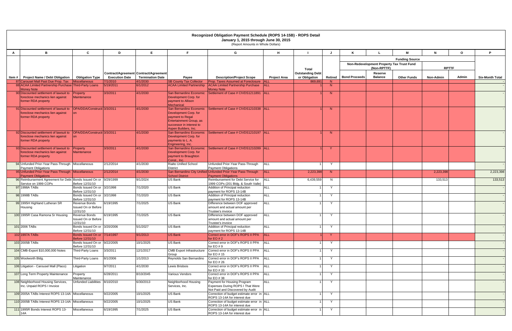| $\mathsf{A}$   | B.                                                                                                                             | C                                               | D                     |                                                                  | Recognized Obligation Payment Schedule (ROPS 14-15B) - ROPS Detail<br>January 1, 2015 through June 30, 2015<br>(Report Amounts in Whole Dollars)    |                                                                                            |                          |                                          |              |                                           |                           |                       |                  |         |                        |
|----------------|--------------------------------------------------------------------------------------------------------------------------------|-------------------------------------------------|-----------------------|------------------------------------------------------------------|-----------------------------------------------------------------------------------------------------------------------------------------------------|--------------------------------------------------------------------------------------------|--------------------------|------------------------------------------|--------------|-------------------------------------------|---------------------------|-----------------------|------------------|---------|------------------------|
|                |                                                                                                                                |                                                 |                       | E                                                                | F.                                                                                                                                                  | G                                                                                          | H                        |                                          |              |                                           |                           | м                     | $\mathbf{N}$     | $\circ$ | P                      |
|                |                                                                                                                                |                                                 |                       |                                                                  |                                                                                                                                                     |                                                                                            |                          |                                          |              |                                           |                           | <b>Funding Source</b> |                  |         |                        |
|                |                                                                                                                                |                                                 |                       |                                                                  |                                                                                                                                                     |                                                                                            |                          |                                          |              | Non-Redevelopment Property Tax Trust Fund |                           |                       |                  |         |                        |
|                |                                                                                                                                |                                                 |                       |                                                                  |                                                                                                                                                     |                                                                                            |                          | <b>Total</b>                             |              |                                           | (Non-RPTTF)               |                       | <b>RPTTF</b>     |         |                        |
| ltem #         | <b>Project Name / Debt Obligation</b>                                                                                          | <b>Obligation Type</b>                          | <b>Execution Date</b> | Contract/Agreement Contract/Agreement<br><b>Termination Date</b> | Payee                                                                                                                                               | <b>Description/Project Scope</b>                                                           | <b>Project Area</b>      | <b>Outstanding Debt</b><br>or Obligation | Retired      | <b>Bond Proceeds</b>                      | Reserve<br><b>Balance</b> | <b>Other Funds</b>    | <b>Non-Admin</b> | Admin   | <b>Six-Month Total</b> |
|                | 87 Carousel Mall Past Due Prop. Tax Miscellaneous<br>88 ACAA Limited Partnership Purchase Third-Party Loans                    |                                                 | 7/1/2010<br>5/19/2011 | 4/1/2030                                                         | <b>SB County Tax Collector</b>                                                                                                                      | Prop. Taxes Assumed at Foreclosure                                                         | <b>ALL</b><br><b>ALL</b> | 869,69                                   | N<br>N       |                                           |                           |                       |                  |         |                        |
|                | <b>Money Note</b>                                                                                                              |                                                 |                       | 6/1/2012                                                         | <b>ACAA Limited Partnership</b>                                                                                                                     | <b>ACAA Limited Partnership Purchase</b><br><b>Money Note</b>                              |                          |                                          |              |                                           |                           |                       |                  |         |                        |
|                | 90 Discounted settlement of lawsuit to Property<br>foreclose mechanics lien against<br>former RDA property                     | Maintenance                                     | 3/3/2011              | 4/1/2030                                                         | San Bernardino Economic<br>Development Corp. for<br>payment to Allison<br><b>Mechanical</b>                                                         | Settlement of Case # CIVDS1211891   ALL                                                    |                          |                                          | N            |                                           |                           |                       |                  |         |                        |
|                | 91 Discounted settlement of lawsuit to<br>foreclose mechanics lien against<br>former RDA property                              | OPA/DDA/Constructi 3/3/2011<br>n <sub>n</sub>   |                       | 4/1/2030                                                         | San Bernardino Economic<br>Development Corp. for<br>payment to Regal<br>Entertainment Group, as<br>successor in interest to<br>Aspen Builders, Inc. | Settlement of Case # CIVDS1210338 ALL                                                      |                          |                                          | N            |                                           |                           |                       |                  |         |                        |
|                | 92 Discounted settlement of lawsuit to  OPA/DDA/Constructi 3/3/2011<br>foreclose mechanics lien against<br>former RDA property | $\Omega$                                        |                       | 4/1/2030                                                         | Development Corp. for<br>payments to L. A.<br>Engineering, Inc.                                                                                     | San Bernardino Economic Settlement of Case # CIVDS1210197 ALL                              |                          |                                          | N            |                                           |                           |                       |                  |         |                        |
|                | 93 Discounted settlement of lawsuit to<br>foreclose mechanics lien against<br>former RDA property                              | Property<br>Maintenance                         | 3/3/2011              | 4/1/2030                                                         | San Bernardino Economic<br>Development Corp. for<br>payment to Braughton<br>Const., Inc.                                                            | Settlement of Case # CIVDS1210289 ALL                                                      |                          |                                          | <sup>Y</sup> |                                           |                           |                       |                  |         |                        |
|                | 94 Unfunded Prior-Year Pass-Through Miscellaneous<br>Payment Obligations                                                       |                                                 | 2/12/2014             | 4/1/2030                                                         | <b>Rialto Unified School</b><br><b>District</b>                                                                                                     | Unfunded Prior-Year Pass-Through<br><b>Payment Obligations</b>                             | <b>ALL</b>               |                                          | Y            |                                           |                           |                       |                  |         |                        |
|                | 95 Unfunded Prior-Year Pass-Through Miscellaneous<br><b>Payment Obligations</b>                                                |                                                 | 2/12/2014             | 4/1/2030                                                         | <b>School District</b>                                                                                                                              | San Bernardino City Unified Unfunded Prior-Year Pass-Through<br><b>Payment Obligations</b> | <b>ALL</b>               | 2,223,398                                | N            |                                           |                           |                       | 2,223,398        |         | 2,223,398              |
|                | 96 Reimbursement Agreement for Debt Bonds Issued On or 9/29/1999                                                               |                                                 |                       | 9/1/2024                                                         | <b>US Bank</b>                                                                                                                                      | Reimbursement for Debt Service for                                                         | <b>ALL</b>               | 6,439,559                                | N            |                                           |                           |                       | 133,513          |         | 133,513                |
|                | Service on 1999 COPs<br>97 1998A TABS                                                                                          | Before 12/31/10<br>Bonds Issued On or 3/2/1998  |                       | 7/1/2020                                                         | <b>US Bank</b>                                                                                                                                      | 1999 COPs (201 Bldg. & South Valle)<br>Addition of Principal reduction                     | <b>ALL</b>               |                                          | Y            |                                           |                           |                       |                  |         |                        |
|                | 98 1998B TABs                                                                                                                  | Before 12/31/10<br>Bonds Issued On or 3/2/1998  |                       | 7/1/2020                                                         | <b>US Bank</b>                                                                                                                                      | payment for ROPS 13-14B<br>Addition of Principal reduction                                 | <b>ALL</b>               |                                          | $\mathsf{v}$ |                                           |                           |                       |                  |         |                        |
|                | 99 1995H Highland Lutheran SR                                                                                                  | Before 12/31/10<br>Revenue Bonds                | 6/19/1995             | 7/1/2025                                                         | <b>US Bank</b>                                                                                                                                      | payment for ROPS 13-14B<br>Difference between DOF approved                                 | <b>ALL</b>               |                                          | Y            |                                           |                           |                       |                  |         |                        |
| Housing        |                                                                                                                                | Issued On or Before<br>12/31/10                 |                       |                                                                  |                                                                                                                                                     | amount and actual amount per<br>Trustee's invoice                                          |                          |                                          |              |                                           |                           |                       |                  |         |                        |
|                | 100 1995R Casa Ramona Sr Housing                                                                                               | Revenue Bonds                                   | 6/19/1995             | 7/1/2025                                                         | <b>US Bank</b>                                                                                                                                      | Difference between DOF approved                                                            | <b>ALL</b>               |                                          | Y            |                                           |                           |                       |                  |         |                        |
|                |                                                                                                                                | Issued On or Before<br>12/31/10                 |                       |                                                                  |                                                                                                                                                     | amount and actual amount per<br>Trustee's invoice                                          |                          |                                          |              |                                           |                           |                       |                  |         |                        |
| 101 2006 TABs  |                                                                                                                                | Bonds Issued On or 3/20/2006<br>Before 12/31/10 |                       | 5/1/2027                                                         | <b>US Bank</b>                                                                                                                                      | Addition of Principal reduction<br>payment for ROPS 13-14B                                 | <b>ALL</b>               |                                          | Y            |                                           |                           |                       |                  |         |                        |
| 102 1997A TABs |                                                                                                                                | Bonds Issued On or 7/14/1997<br>Before 12/31/10 |                       | 9/1/2013                                                         | <b>US Bank</b>                                                                                                                                      | Correct error in DOF's ROPS II PPA<br>for EO $#2$                                          | <b>ALL</b>               |                                          | <sup>Y</sup> |                                           |                           |                       |                  |         |                        |
| 103 2005B TABs |                                                                                                                                | Bonds Issued On or 9/22/2005<br>Before 12/31/10 |                       | 10/1/2025                                                        | <b>US Bank</b>                                                                                                                                      | Correct error in DOF's ROPS II PPA<br>for EO $# 9$                                         | <b>ALL</b>               |                                          | Y            |                                           |                           |                       |                  |         |                        |
|                | 104 CMB-Export \$10,000,000 Notes                                                                                              | Third-Party Loans                               | 3/3/2011              | 12/1/2017                                                        | <b>CMB Export Infrastructure</b><br>Group                                                                                                           | Correct error in DOF's ROPS II PPA ALL<br>for EO #15                                       |                          |                                          | $\mathsf{v}$ |                                           |                           |                       |                  |         |                        |
|                | 105 Woolworth Bldg.                                                                                                            | Third-Party Loans                               | 8/1/2006              | 1/1/2013                                                         | Reynolds San Bernardino                                                                                                                             | Correct error in DOF's ROPS II PPA<br>for $EO \# 26$                                       | <b>ALL</b>               |                                          | Y            |                                           |                           |                       |                  |         |                        |
|                | 106 Litigation - Carousel Mall (Placo)                                                                                         | Litigation                                      | 9/7/2011              | 4/1/2030                                                         | Lewis Brisbois                                                                                                                                      | Correct error in DOF's ROPS II PPA<br>for EO #33                                           | <b>ALL</b>               |                                          | Y            |                                           |                           |                       |                  |         |                        |
|                | 107 Long Term Property Maintenance                                                                                             | Property<br>Maintenance                         | 6/28/2011             | 8/10/2045                                                        | Various Vendors                                                                                                                                     | Correct error in DOF's ROPS II PPA<br>for EO #38                                           | <b>ALL</b>               |                                          | Y            |                                           |                           |                       |                  |         |                        |
|                | 108 Neighborhood Housing Services,                                                                                             | <b>Unfunded Liabilities</b>                     | 8/10/2010             | 6/30/2013                                                        | Neighborhood Housing                                                                                                                                | Payment for Housing Program                                                                | <b>ALL</b>               |                                          | $\mathsf{Y}$ |                                           |                           |                       |                  |         |                        |
|                | Inc. Unpaid ROPS I Invoice                                                                                                     |                                                 |                       |                                                                  | Services, Inc.                                                                                                                                      | Expenses During ROPS I That Were<br>Not Paid and Discovered by Audit                       |                          |                                          |              |                                           |                           |                       |                  |         |                        |
|                | 109 2005A TABs Interest ROPS 13-14A Miscellaneous                                                                              |                                                 | 9/22/2005             | 10/1/2025                                                        | US Bank                                                                                                                                             | Correction of budget estimate error in ALL<br>ROPS 13-14A for interest due                 |                          |                                          | Y            |                                           |                           |                       |                  |         |                        |
|                | 110 2005B TABs Interest ROPS 13-14A Miscellaneous                                                                              |                                                 | 9/22/2005             | 10/1/2025                                                        | US Bank                                                                                                                                             | Correction of budget estimate error in ALL<br>ROPS 13-14A for interest due                 |                          |                                          | Y            |                                           |                           |                       |                  |         |                        |
| 14A            | 111 1995R Bonds Interest ROPS 13-                                                                                              | Miscellaneous                                   | 6/19/1995             | 7/1/2025                                                         | US Bank                                                                                                                                             | Correction of budget estimate error in ALL<br>ROPS 13-14A for interest due                 |                          |                                          | $\mathsf{Y}$ |                                           |                           |                       |                  |         |                        |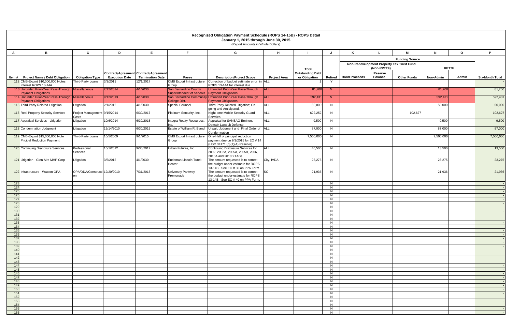|              | Recognized Obligation Payment Schedule (ROPS 14-15B) - ROPS Detail<br>January 1, 2015 through June 30, 2015<br>(Report Amounts in Whole Dollars) |                                     |                       |                                                                  |                                           |                                                                                                              |                     |                                                   |         |                         |                           |                                           |              |              |                        |
|--------------|--------------------------------------------------------------------------------------------------------------------------------------------------|-------------------------------------|-----------------------|------------------------------------------------------------------|-------------------------------------------|--------------------------------------------------------------------------------------------------------------|---------------------|---------------------------------------------------|---------|-------------------------|---------------------------|-------------------------------------------|--------------|--------------|------------------------|
| $\mathsf{A}$ | B                                                                                                                                                | $\mathbf{c}$                        | D                     | E                                                                | F.                                        | G                                                                                                            | H                   |                                                   |         |                         |                           | м                                         | $\mathbf{N}$ | $\mathbf{o}$ | P.                     |
|              |                                                                                                                                                  |                                     |                       |                                                                  |                                           |                                                                                                              |                     |                                                   |         |                         |                           | <b>Funding Source</b>                     |              |              |                        |
|              |                                                                                                                                                  |                                     |                       |                                                                  |                                           |                                                                                                              |                     |                                                   |         |                         | (Non-RPTTF)               | Non-Redevelopment Property Tax Trust Fund | <b>RPTTF</b> |              |                        |
|              | Item #   Project Name / Debt Obligation                                                                                                          | <b>Obligation Type</b>              | <b>Execution Date</b> | Contract/Agreement Contract/Agreement<br><b>Termination Date</b> | Payee                                     | <b>Description/Project Scope</b>                                                                             | <b>Project Area</b> | Total<br><b>Outstanding Debt</b><br>or Obligation |         | Retired   Bond Proceeds | Reserve<br><b>Balance</b> | <b>Other Funds</b>                        | Non-Admin    | Admin        | <b>Six-Month Total</b> |
|              | 112 CMB-Export \$10,000,000 Notes<br>Interest ROPS 13-14A                                                                                        | Third-Party Loans                   | 3/3/2011              | 12/1/2017                                                        | <b>CMB</b> Export Infrastructure<br>Group | Correction of budget estimate error in ALL<br>ROPS 13-14A for interest due                                   |                     |                                                   | - Y     |                         |                           |                                           |              |              |                        |
|              | 113 Unfunded Prior-Year Pass-Through Miscellaneous                                                                                               |                                     | 2/12/2014             | 4/1/2030                                                         | San Bernardino County                     | Unfunded Prior-Year Pass-Through                                                                             | <b>ALL</b>          | 81,700                                            | N       |                         |                           |                                           | 81,700       |              | 81,700                 |
|              | <b>Payment Obligations</b><br>114 Unfunded Prior-Year Pass-Through   Miscellaneous                                                               |                                     | 9/12/2013             | 4/1/2030                                                         | Superintendent of Schools                 | <b>Payment Obligations</b><br>San Bernardino Community Unfunded Prior-Year Pass-Through                      | <b>ALL</b>          | 592,431                                           | N       |                         |                           |                                           | 592,431      |              | 592,431                |
|              | <b>Payment Obligations</b><br>115 Third-Party Related Litigation                                                                                 | Litigation                          | 2/1/2012              | 4/1/2030                                                         | College Dist.<br><b>Special Counsel</b>   | <b>Payment Obligations</b><br>Third-Party Related Litigation; On-                                            | <b>ALL</b>          | 50,000                                            | N.      |                         |                           |                                           | 50,000       |              | 50,000                 |
|              | 116 Real Property Security Services                                                                                                              | Project Management 9/15/2014        |                       | 6/30/2017                                                        | Platinum Sercurity, Inc.                  | going and Anticipated.<br>Night-time Mobile Security Guard                                                   | <b>ALL</b>          | 622,252                                           | N       |                         |                           | 102,627                                   |              |              | 102,627                |
|              | 117 Appraisal Services - Litigation                                                                                                              | Costs<br>Litigation                 | 10/6/2014             | 6/30/2015                                                        | Integra Realty Resources,                 | Servcies<br>Appraisal for SANBAG Eminent                                                                     | <b>ALL</b>          | 9,500                                             | N       |                         |                           |                                           | 9,500        |              | 9,500                  |
|              | 118 Condemnation Judgment                                                                                                                        | Litigation                          | 12/14/2010            | 6/30/2015                                                        | Estate of William R. Bland                | Domain Lawsuit Defense<br>Unpaid Judgment and Final Order of ALL                                             |                     | 87,000                                            | N       |                         |                           |                                           | 87,000       |              | 87,000                 |
|              |                                                                                                                                                  |                                     |                       |                                                                  |                                           | Condemnation                                                                                                 |                     |                                                   |         |                         |                           |                                           |              |              |                        |
|              | 119 CMB-Export \$15,000,000 Note<br>Pricipal Reduction Payment                                                                                   | Third-Party Loans                   | 10/5/2009             | 9/1/2015                                                         | <b>CMB Export Infrastructure</b><br>Group | One-Half of principal reduction<br>payment due on 9/1/2015 for EO # 14<br>(HSC 34171 (d)(1)(A) Reserve)      |                     | 7,500,000                                         | N       |                         |                           |                                           | 7,500,000    |              | 7,500,000              |
|              | 120 Continuing Disclosure Services                                                                                                               | Professional<br>Services            | 10/1/2012             | 9/30/2017                                                        | Urban Futures, Inc.                       | Continuing Disclosure Services for<br>2002, 2002A, 2005A, 2005B, 2006,<br>2010A and 2010B TABs               | <b>ALL</b>          | 40,500                                            | N       |                         |                           |                                           | 13,500       |              | 13,500                 |
|              | 121 Litigation - Glen Aire MHP Corp                                                                                                              | Litigation                          | 3/5/2012              | 4/1/2030                                                         | Endeman Lincoln Turek<br>Heater           | The amount requested is to correct<br>the budget under-estimate for ROPS<br>13-14B. See EO # 36 on PPA Form. | City, IVDA          | 23,275                                            | N       |                         |                           |                                           | 23,275       |              | 23,275                 |
|              | 122 Infrastructure - Watson OPA                                                                                                                  | OPA/DDA/Constructi 12/20/2010<br>on |                       | 7/31/2013                                                        | University Parkway<br>Promenade           | The amount requested is to correct<br>the budget under-estimate for ROPS<br>13-14B. See EO # 40 on PPA Form. | SC                  | 21,936                                            | N       |                         |                           |                                           | 21,936       |              | 21,936                 |
| 123<br>124   |                                                                                                                                                  |                                     |                       |                                                                  |                                           |                                                                                                              |                     |                                                   | N<br>N  |                         |                           |                                           |              |              |                        |
| 125          |                                                                                                                                                  |                                     |                       |                                                                  |                                           |                                                                                                              |                     |                                                   | N       |                         |                           |                                           |              |              |                        |
| 126<br>127   |                                                                                                                                                  |                                     |                       |                                                                  |                                           |                                                                                                              |                     |                                                   | N<br>N  |                         |                           |                                           |              |              |                        |
| 128          |                                                                                                                                                  |                                     |                       |                                                                  |                                           |                                                                                                              |                     |                                                   | N       |                         |                           |                                           |              |              |                        |
| 129<br>130   |                                                                                                                                                  |                                     |                       |                                                                  |                                           |                                                                                                              |                     |                                                   | N<br>N  |                         |                           |                                           |              |              |                        |
| 131          |                                                                                                                                                  |                                     |                       |                                                                  |                                           |                                                                                                              |                     |                                                   | N       |                         |                           |                                           |              |              |                        |
| 132<br>133   |                                                                                                                                                  |                                     |                       |                                                                  |                                           |                                                                                                              |                     |                                                   | N<br>N  |                         |                           |                                           |              |              |                        |
| 134          |                                                                                                                                                  |                                     |                       |                                                                  |                                           |                                                                                                              |                     |                                                   | N       |                         |                           |                                           |              |              |                        |
| 135<br>136   |                                                                                                                                                  |                                     |                       |                                                                  |                                           |                                                                                                              |                     |                                                   | N<br>N  |                         |                           |                                           |              |              |                        |
| 137          |                                                                                                                                                  |                                     |                       |                                                                  |                                           |                                                                                                              |                     |                                                   | N       |                         |                           |                                           |              |              |                        |
| 138<br>139   |                                                                                                                                                  |                                     |                       |                                                                  |                                           |                                                                                                              |                     |                                                   | N<br>N. |                         |                           |                                           |              |              |                        |
| 140          |                                                                                                                                                  |                                     |                       |                                                                  |                                           |                                                                                                              |                     |                                                   | N       |                         |                           |                                           |              |              |                        |
| 141<br>$142$ |                                                                                                                                                  |                                     |                       |                                                                  |                                           |                                                                                                              |                     |                                                   | N<br>N  |                         |                           |                                           |              |              |                        |
| 143          |                                                                                                                                                  |                                     |                       |                                                                  |                                           |                                                                                                              |                     |                                                   | N       |                         |                           |                                           |              |              |                        |
| 144<br>145   |                                                                                                                                                  |                                     |                       |                                                                  |                                           |                                                                                                              |                     |                                                   | N<br>N  |                         |                           |                                           |              |              |                        |
| 146          |                                                                                                                                                  |                                     |                       |                                                                  |                                           |                                                                                                              |                     |                                                   | N       |                         |                           |                                           |              |              |                        |
| 147<br>148   |                                                                                                                                                  |                                     |                       |                                                                  |                                           |                                                                                                              |                     |                                                   | N.<br>N |                         |                           |                                           |              |              |                        |
| 149          |                                                                                                                                                  |                                     |                       |                                                                  |                                           |                                                                                                              |                     |                                                   | N       |                         |                           |                                           |              |              |                        |
| 150<br>151   |                                                                                                                                                  |                                     |                       |                                                                  |                                           |                                                                                                              |                     |                                                   | N.<br>N |                         |                           |                                           |              |              |                        |
| 152          |                                                                                                                                                  |                                     |                       |                                                                  |                                           |                                                                                                              |                     |                                                   | N       |                         |                           |                                           |              |              |                        |
| 153<br>154   |                                                                                                                                                  |                                     |                       |                                                                  |                                           |                                                                                                              |                     |                                                   | N<br>N  |                         |                           |                                           |              |              |                        |
| 155          |                                                                                                                                                  |                                     |                       |                                                                  |                                           |                                                                                                              |                     |                                                   | N.      |                         |                           |                                           |              |              |                        |
| 156          |                                                                                                                                                  |                                     |                       |                                                                  |                                           |                                                                                                              |                     |                                                   | N       |                         |                           |                                           |              |              |                        |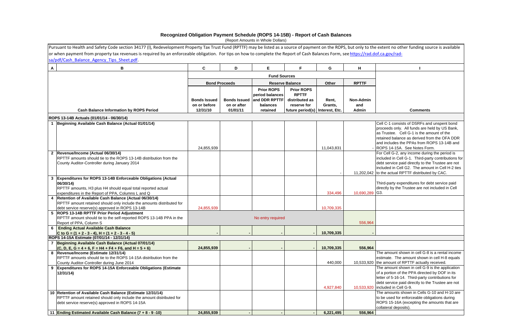|                | Pursuant to Health and Safety Code section 34177 (I), Redevelopment Property Tax Trust Fund (RPTTF) may be listed as a source of payment on the ROPS, but only to the extent no other funding source is available |                                                 |                         |                                                                                            |                                                                                                         |                  |                                  |                                                                                                                                                                                                                                                                         |
|----------------|-------------------------------------------------------------------------------------------------------------------------------------------------------------------------------------------------------------------|-------------------------------------------------|-------------------------|--------------------------------------------------------------------------------------------|---------------------------------------------------------------------------------------------------------|------------------|----------------------------------|-------------------------------------------------------------------------------------------------------------------------------------------------------------------------------------------------------------------------------------------------------------------------|
|                | or when payment from property tax revenues is required by an enforceable obligation. For tips on how to complete the Report of Cash Balances Form, see https://rad.dof.ca.gov/rad-                                |                                                 |                         |                                                                                            |                                                                                                         |                  |                                  |                                                                                                                                                                                                                                                                         |
|                | sa/pdf/Cash Balance Agency Tips Sheet.pdf.                                                                                                                                                                        |                                                 |                         |                                                                                            |                                                                                                         |                  |                                  |                                                                                                                                                                                                                                                                         |
| $\mathbf{A}$   | B                                                                                                                                                                                                                 | $\mathbf c$                                     | D                       | Е                                                                                          | F.                                                                                                      | G                | H                                |                                                                                                                                                                                                                                                                         |
|                |                                                                                                                                                                                                                   |                                                 |                         | <b>Fund Sources</b>                                                                        |                                                                                                         |                  |                                  |                                                                                                                                                                                                                                                                         |
|                |                                                                                                                                                                                                                   |                                                 | <b>Bond Proceeds</b>    |                                                                                            | <b>Reserve Balance</b>                                                                                  |                  | <b>RPTTF</b>                     |                                                                                                                                                                                                                                                                         |
|                |                                                                                                                                                                                                                   |                                                 |                         |                                                                                            |                                                                                                         | Other            |                                  |                                                                                                                                                                                                                                                                         |
|                | <b>Cash Balance Information by ROPS Period</b>                                                                                                                                                                    | <b>Bonds Issued</b><br>on or before<br>12/31/10 | on or after<br>01/01/11 | <b>Prior ROPS</b><br>period balances<br>Bonds Issued and DDR RPTTF<br>balances<br>retained | <b>Prior ROPS</b><br><b>RPTTF</b><br>distributed as<br>reserve for<br>future period(s)   Interest, Etc. | Rent,<br>Grants, | <b>Non-Admin</b><br>and<br>Admin | <b>Comments</b>                                                                                                                                                                                                                                                         |
|                | ROPS 13-14B Actuals (01/01/14 - 06/30/14)                                                                                                                                                                         |                                                 |                         |                                                                                            |                                                                                                         |                  |                                  |                                                                                                                                                                                                                                                                         |
|                | Beginning Available Cash Balance (Actual 01/01/14)                                                                                                                                                                | 24,855,939                                      |                         |                                                                                            |                                                                                                         | 11,043,831       |                                  | Cell C-1 consists of DSRFs and unspent bond<br>proceeds only. All funds are held by US Bank,<br>as Trustee. Cell G-1 is the amount of the<br>retained balance as derived from the OFA DDR<br>and includes the PPAs from ROPS 13-14B and<br>ROPS 14-15A. See Notes Form. |
| $\overline{2}$ | Revenue/Income (Actual 06/30/14)<br>RPTTF amounts should tie to the ROPS 13-14B distribution from the<br>County Auditor-Controller during January 2014                                                            |                                                 |                         |                                                                                            |                                                                                                         |                  |                                  | For Cell G-2, any income during the period is<br>included in Cell G-1. Third-party contributions f<br>debt service paid directly to the Trustee are not<br>included in Cell G2. The amount in Cell H-2 ties<br>11,202,042 to the actual RPTTF distributed by CAC.       |
|                | 3 Expenditures for ROPS 13-14B Enforceable Obligations (Actual<br>06/30/14)<br>RPTTF amounts, H3 plus H4 should equal total reported actual<br>expenditures in the Report of PPA, Columns L and Q                 |                                                 |                         |                                                                                            |                                                                                                         | 334,496          | 10,690,289                       | Third-party expenditures for debt service paid<br>directly by the Trustee are not included in Cell<br>G3.                                                                                                                                                               |
|                | 4   Retention of Available Cash Balance (Actual 06/30/14)<br>RPTTF amount retained should only include the amounts distributed for<br>debt service reserve(s) approved in ROPS 13-14B                             | 24,855,939                                      |                         |                                                                                            |                                                                                                         | 10,709,335       |                                  |                                                                                                                                                                                                                                                                         |
|                | 5 ROPS 13-14B RPTTF Prior Period Adjustment<br>RPTTF amount should tie to the self-reported ROPS 13-14B PPA in the<br>Report of PPA, Column S                                                                     |                                                 |                         | No entry required                                                                          |                                                                                                         |                  | 556,964                          |                                                                                                                                                                                                                                                                         |
|                | 6 Ending Actual Available Cash Balance<br>C to G = $(1 + 2 - 3 - 4)$ , H = $(1 + 2 - 3 - 4 - 5)$                                                                                                                  |                                                 |                         |                                                                                            |                                                                                                         | 10,709,335       |                                  |                                                                                                                                                                                                                                                                         |
|                | ROPS 14-15A Estimate (07/01/14 - 12/31/14)                                                                                                                                                                        |                                                 |                         |                                                                                            |                                                                                                         |                  |                                  |                                                                                                                                                                                                                                                                         |
|                | 7 Beginning Available Cash Balance (Actual 07/01/14)<br>$(C, D, E, G = 4 + 6, F = H4 + F4 + F6, and H = 5 + 6)$                                                                                                   | 24,855,939                                      |                         |                                                                                            |                                                                                                         | 10,709,335       | 556,964                          |                                                                                                                                                                                                                                                                         |
|                | 8 Revenue/Income (Estimate 12/31/14)<br>RPTTF amounts should tie to the ROPS 14-15A distribution from the<br>County Auditor-Controller during June 2014                                                           |                                                 |                         |                                                                                            |                                                                                                         | 440,000          |                                  | The amount shown in cell G-8 is a rental income<br>estimate. The amount shown in cell H-8 equals<br>10,533,920 the amount of RPTTF actually received.                                                                                                                   |
| 9              | Expenditures for ROPS 14-15A Enforceable Obligations (Estimate<br>12/31/14)                                                                                                                                       |                                                 |                         |                                                                                            |                                                                                                         | 4,927,840        |                                  | The amount shown in cell G-9 is the application<br>of a portion of the PPA directed by DOF in its<br>letter of 5-16-14. Third-party contributions for<br>debt service paid directly to the Trustee are not<br>10,533,920   included in Cell G-9.                        |
|                | 10 Retention of Available Cash Balance (Estimate 12/31/14)<br>RPTTF amount retained should only include the amount distributed for<br>debt service reserve(s) approved in ROPS 14-15A                             |                                                 |                         |                                                                                            |                                                                                                         |                  |                                  | The amounts shown in Cells G-10 and H-10 are<br>to be used for enforceable obligations during<br>ROPS 15-16A (excepting the amounts that are<br>collateral deposits).                                                                                                   |
|                | 11 Ending Estimated Available Cash Balance (7 + 8 - 9 -10)                                                                                                                                                        | 24,855,939                                      |                         |                                                                                            |                                                                                                         | 6,221,495        | 556,964                          |                                                                                                                                                                                                                                                                         |

| extent no other funding source is available                                                               |
|-----------------------------------------------------------------------------------------------------------|
| of.ca.gov/rad-                                                                                            |
|                                                                                                           |
|                                                                                                           |
| ı                                                                                                         |
|                                                                                                           |
|                                                                                                           |
|                                                                                                           |
|                                                                                                           |
|                                                                                                           |
|                                                                                                           |
| <b>Comments</b>                                                                                           |
|                                                                                                           |
| Cell C-1 consists of DSRFs and unspent bond                                                               |
| proceeds only. All funds are held by US Bank,                                                             |
| as Trustee. Cell G-1 is the amount of the                                                                 |
| retained balance as derived from the OFA DDR<br>and includes the PPAs from ROPS 13-14B and                |
| ROPS 14-15A. See Notes Form.                                                                              |
| For Cell G-2, any income during the period is                                                             |
| included in Cell G-1. Third-party contributions for                                                       |
| debt service paid directly to the Trustee are not                                                         |
| included in Cell G2. The amount in Cell H-2 ties                                                          |
| to the actual RPTTF distributed by CAC.                                                                   |
| Third-party expenditures for debt service paid<br>directly by the Trustee are not included in Cell<br>G3. |
|                                                                                                           |
|                                                                                                           |
|                                                                                                           |
|                                                                                                           |
|                                                                                                           |
|                                                                                                           |
|                                                                                                           |
|                                                                                                           |
|                                                                                                           |
| The amount shown in cell G-8 is a rental income                                                           |
| estimate. The amount shown in cell H-8 equals                                                             |
| the amount of RPTTF actually received.                                                                    |
| The amount shown in cell G-9 is the application                                                           |
| of a portion of the PPA directed by DOF in its                                                            |
| letter of 5-16-14. Third-party contributions for<br>debt service paid directly to the Trustee are not     |
| included in Cell G-9.                                                                                     |
| The amounts shown in Cells G-10 and H-10 are                                                              |
| to be used for enforceable obligations during                                                             |
| ROPS 15-16A (excepting the amounts that are                                                               |
| collateral deposits).                                                                                     |
|                                                                                                           |

# **Recognized Obligation Payment Schedule (ROPS 14-15B) - Report of Cash Balances**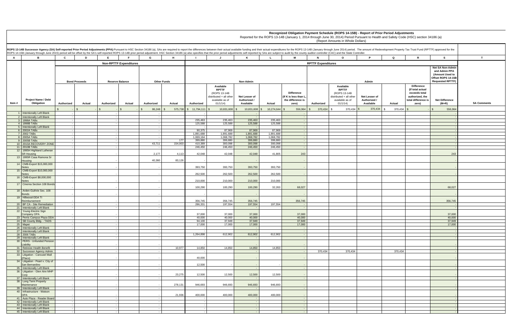|                |                                                              |                      | ROPS 14-15B (January through June 2015) period will be offset by the SA's self-reported ROPS 13-14B prior period adjustment. HSC Section 34186 (a) also specifies that the prior period adjustments self-reported by SAs are s |                      |                               |                                                                                                     |                                            |                     |                                                                        |                           | ROPS 13-14B Successor Agency (SA) Self-reported Prior Period Adjustments (PPA):Pursuant to HSC Section 34186 (a), SAs are required to report the differences between their actual available funding and their actual expenditu |            |                          |                                                                                                           |                                                                                                       |               |
|----------------|--------------------------------------------------------------|----------------------|--------------------------------------------------------------------------------------------------------------------------------------------------------------------------------------------------------------------------------|----------------------|-------------------------------|-----------------------------------------------------------------------------------------------------|--------------------------------------------|---------------------|------------------------------------------------------------------------|---------------------------|--------------------------------------------------------------------------------------------------------------------------------------------------------------------------------------------------------------------------------|------------|--------------------------|-----------------------------------------------------------------------------------------------------------|-------------------------------------------------------------------------------------------------------|---------------|
| $\overline{A}$ | В.                                                           | $\mathbf{c}$<br>D    | E.<br><b>E</b>                                                                                                                                                                                                                 | H<br>G               | $\mathbf{L}$                  | $\mathbf{J}$                                                                                        | K                                          | $\mathbf{L}$        | M                                                                      | $\mathbf N$               | $\mathbf{o}$<br>P.                                                                                                                                                                                                             |            | Q                        | $\mathbf R$                                                                                               | <b>S</b>                                                                                              |               |
|                |                                                              |                      | <b>Non-RPTTF Expenditures</b>                                                                                                                                                                                                  |                      |                               |                                                                                                     |                                            |                     |                                                                        | <b>RPTTF Expenditures</b> |                                                                                                                                                                                                                                |            |                          |                                                                                                           |                                                                                                       |               |
|                |                                                              | <b>Bond Proceeds</b> | <b>Reserve Balance</b>                                                                                                                                                                                                         | <b>Other Funds</b>   |                               |                                                                                                     | Non-Admin                                  |                     |                                                                        |                           | Admin                                                                                                                                                                                                                          |            |                          |                                                                                                           | Net SA Non-Admir<br>and Admin PPA<br>(Amount Used to<br>Offset ROPS 14-15B<br><b>Requested RPTTF)</b> |               |
| Item #         | <b>Project Name / Debt</b><br>Obligation                     | Authorized<br>Actual | Authorized<br>Actual                                                                                                                                                                                                           | Authorized<br>Actual | Authorized                    | Available<br><b>RPTTF</b><br>(ROPS 13-14B<br>distributed + all other<br>available as of<br>01/1/14) | Net Lesser of<br>Authorized /<br>Available | Actual              | <b>Difference</b><br>If K is less than L<br>the difference is<br>zero) | Authorized                | Available<br><b>RPTTF</b><br>(ROPS 13-14B<br>Net Lesser of<br>distributed + all other<br>Authorized /<br>available as of<br>01/1/14)<br>Available                                                                              |            | Actual                   | <b>Difference</b><br>(If total actual<br>exceeds total<br>authorized, the<br>total difference is<br>zero) | <b>Net Difference</b><br>$(M+R)$                                                                      | <b>SA Com</b> |
|                |                                                              | \$                   |                                                                                                                                                                                                                                | $86,248$ \$          | $$11,794,111$ \\$<br>575,738  | $10,831,608$ \$                                                                                     | 10,831,608                                 | 10,274,644          | 556,964                                                                | 370,434                   | 370,434<br>-S                                                                                                                                                                                                                  | 370,434 \$ | 370,434<br>$\mathcal{F}$ |                                                                                                           | 556,964                                                                                               |               |
|                | 1 Intentionally Left Blank<br>2 Intentionally Left Blank     |                      |                                                                                                                                                                                                                                |                      |                               |                                                                                                     |                                            |                     |                                                                        |                           |                                                                                                                                                                                                                                |            |                          |                                                                                                           |                                                                                                       |               |
|                | 3 1998A TABS                                                 | $\sim$               |                                                                                                                                                                                                                                |                      | 235,463                       | 235,463                                                                                             | 235,463                                    | 235,463             | $\sim$ $-$<br>$\sim$                                                   |                           |                                                                                                                                                                                                                                |            |                          |                                                                                                           |                                                                                                       |               |
|                | 4 1998B TABs                                                 |                      |                                                                                                                                                                                                                                |                      | 125,588                       | 125,588                                                                                             | 125,588                                    | 125,588             | $\sim$                                                                 |                           |                                                                                                                                                                                                                                |            |                          |                                                                                                           |                                                                                                       |               |
|                | 5 Intentionally Left Blank                                   | $\sim$               |                                                                                                                                                                                                                                |                      |                               |                                                                                                     | $\sim$ $-$<br>87,969                       |                     | $\sim$ $-$                                                             |                           |                                                                                                                                                                                                                                |            |                          |                                                                                                           |                                                                                                       |               |
|                | 6 2002A TABS<br>7 2002 TABS                                  |                      |                                                                                                                                                                                                                                |                      | 90,375<br>1,891,688           | 87,969<br>1,891,688                                                                                 | 1,891,688                                  | 87,969<br>1,891,688 | $\sim$                                                                 |                           |                                                                                                                                                                                                                                |            |                          |                                                                                                           |                                                                                                       |               |
|                | 8 2005A TABS                                                 | $\sim$               |                                                                                                                                                                                                                                |                      | 1,069,164                     | 1,068,782                                                                                           | 1,068,782                                  | 1,068,782           | $\sim$ $-$                                                             |                           |                                                                                                                                                                                                                                |            |                          |                                                                                                           |                                                                                                       |               |
|                | 9 2005B TABS                                                 |                      |                                                                                                                                                                                                                                |                      | 399,880<br>177                | 399,880                                                                                             | 399,880                                    | 399,880             | $\sim$                                                                 |                           |                                                                                                                                                                                                                                |            |                          |                                                                                                           |                                                                                                       |               |
|                | 10 2010A RECOVERY ZONE<br>11 2010B TABS                      |                      |                                                                                                                                                                                                                                | 43,711               | 154,003<br>410,389<br>246,450 | 300,098<br>246,450                                                                                  | 300,098<br>246,450                         | 300,098<br>246,450  |                                                                        |                           |                                                                                                                                                                                                                                |            |                          |                                                                                                           |                                                                                                       |               |
|                | 12 1995H Highland Lutheran                                   |                      |                                                                                                                                                                                                                                |                      |                               |                                                                                                     |                                            |                     | $\sim$ $-$                                                             |                           |                                                                                                                                                                                                                                |            |                          |                                                                                                           |                                                                                                       |               |
|                | <b>SR Housing</b>                                            |                      |                                                                                                                                                                                                                                | 2,177                | 42,048<br>4,113               | 42,048                                                                                              | 42,048                                     | 41,805              | 243                                                                    |                           |                                                                                                                                                                                                                                |            |                          |                                                                                                           | 243                                                                                                   |               |
|                | 13 1995R Casa Ramona Sr                                      |                      |                                                                                                                                                                                                                                |                      |                               |                                                                                                     |                                            |                     |                                                                        |                           |                                                                                                                                                                                                                                |            |                          |                                                                                                           |                                                                                                       |               |
|                | Housing<br>14 CMB-Export \$15,000,000                        |                      |                                                                                                                                                                                                                                | 40,360               | 83,126                        |                                                                                                     |                                            |                     |                                                                        |                           |                                                                                                                                                                                                                                |            |                          |                                                                                                           |                                                                                                       |               |
|                | <b>Notes</b>                                                 |                      |                                                                                                                                                                                                                                |                      | 393,750                       | 393,750                                                                                             | 393,750                                    | 393,750             |                                                                        |                           |                                                                                                                                                                                                                                |            |                          |                                                                                                           |                                                                                                       |               |
|                | 15 CMB-Export \$10,000,000                                   |                      |                                                                                                                                                                                                                                |                      |                               |                                                                                                     |                                            |                     |                                                                        |                           |                                                                                                                                                                                                                                |            |                          |                                                                                                           |                                                                                                       |               |
|                | <b>Notes</b>                                                 |                      |                                                                                                                                                                                                                                |                      | 262,500                       | 262,500                                                                                             | 262,500                                    | 262,500             |                                                                        |                           |                                                                                                                                                                                                                                |            |                          |                                                                                                           |                                                                                                       |               |
|                | 16 CMB-Export \$8,000,000<br><b>Notes</b>                    |                      |                                                                                                                                                                                                                                |                      | 210,000                       | 210,000                                                                                             | 210,000                                    | 210,000             |                                                                        |                           |                                                                                                                                                                                                                                |            |                          |                                                                                                           |                                                                                                       |               |
|                | 17 Cinema Section 108 Bonds                                  |                      |                                                                                                                                                                                                                                |                      |                               |                                                                                                     |                                            |                     |                                                                        |                           |                                                                                                                                                                                                                                |            |                          |                                                                                                           |                                                                                                       |               |
|                |                                                              |                      |                                                                                                                                                                                                                                |                      | 100,290                       | 100,290                                                                                             | 100,290                                    | 32,263              | 68,027                                                                 |                           |                                                                                                                                                                                                                                |            |                          |                                                                                                           | 68,027                                                                                                |               |
|                | 18 Arden-Guthrie Sec. 108<br><b>Bonds</b>                    |                      |                                                                                                                                                                                                                                |                      |                               |                                                                                                     |                                            |                     |                                                                        |                           |                                                                                                                                                                                                                                |            |                          |                                                                                                           |                                                                                                       |               |
|                | 19 Hillwood-DDA TI                                           |                      |                                                                                                                                                                                                                                |                      |                               |                                                                                                     |                                            |                     |                                                                        |                           |                                                                                                                                                                                                                                |            |                          |                                                                                                           |                                                                                                       |               |
|                | Reimbursement                                                |                      |                                                                                                                                                                                                                                |                      | 356,745                       | 356,745                                                                                             | 356,745                                    |                     | 356,745                                                                |                           |                                                                                                                                                                                                                                |            |                          |                                                                                                           | 356,745                                                                                               |               |
|                | 20 BP CA - Site Remediation                                  |                      |                                                                                                                                                                                                                                |                      | 286,331                       | 197,554                                                                                             | 197,554                                    | 197,554             |                                                                        |                           |                                                                                                                                                                                                                                |            |                          |                                                                                                           |                                                                                                       |               |
|                | 21 Intentionally Left Blank<br>22 Young Electric Sign        |                      |                                                                                                                                                                                                                                |                      |                               |                                                                                                     |                                            |                     | $\sim$                                                                 |                           |                                                                                                                                                                                                                                |            |                          |                                                                                                           |                                                                                                       |               |
|                | Company OPA                                                  |                      |                                                                                                                                                                                                                                |                      | 37,000                        | 37,000                                                                                              | 37,000                                     |                     | 37,000                                                                 |                           |                                                                                                                                                                                                                                |            |                          |                                                                                                           | 37,000                                                                                                |               |
|                | 23 Perris Campus Plaza DDA                                   |                      |                                                                                                                                                                                                                                |                      | 40,000                        | 40,000                                                                                              | 40,000                                     |                     | 40,000                                                                 |                           |                                                                                                                                                                                                                                |            |                          |                                                                                                           | 40,000                                                                                                |               |
|                | 24   SB County Bldg. - TADS                                  |                      |                                                                                                                                                                                                                                |                      | 94,100                        | 37,949                                                                                              | 37,949                                     |                     | 37,949                                                                 |                           |                                                                                                                                                                                                                                |            |                          |                                                                                                           | 37,949                                                                                                |               |
|                | 25 Mapei<br>26 Intentionally Left Blank                      |                      |                                                                                                                                                                                                                                |                      | 17,000                        | 17,000                                                                                              | 17,000                                     |                     | 17,000                                                                 |                           |                                                                                                                                                                                                                                |            |                          |                                                                                                           | 17,000                                                                                                |               |
|                | 27 Intentionally Left Blank                                  |                      |                                                                                                                                                                                                                                |                      |                               |                                                                                                     | $\sim$                                     |                     |                                                                        |                           |                                                                                                                                                                                                                                |            |                          |                                                                                                           |                                                                                                       |               |
|                | 28 2006 TABS                                                 |                      |                                                                                                                                                                                                                                |                      | 1,264,898                     | 612,902                                                                                             | 612,902                                    | 612,902             |                                                                        |                           |                                                                                                                                                                                                                                |            |                          |                                                                                                           |                                                                                                       |               |
|                | 29 Intentionally Left Blank<br>30 PERS - Unfunded Pension    |                      |                                                                                                                                                                                                                                |                      |                               |                                                                                                     |                                            |                     |                                                                        |                           |                                                                                                                                                                                                                                |            |                          |                                                                                                           |                                                                                                       |               |
|                | Liability                                                    |                      |                                                                                                                                                                                                                                |                      |                               |                                                                                                     |                                            |                     |                                                                        |                           |                                                                                                                                                                                                                                |            |                          |                                                                                                           |                                                                                                       |               |
|                | 31 Retireee Health Benefit                                   |                      |                                                                                                                                                                                                                                |                      | 10,977<br>14,850              | 14,850                                                                                              | 14,850                                     | 14,850              | $\sim$ $-$                                                             |                           |                                                                                                                                                                                                                                |            |                          |                                                                                                           |                                                                                                       |               |
|                | 32 Successor Agency Admin.<br>33 Litigation - Carousel Mall  | $\sim$               |                                                                                                                                                                                                                                |                      |                               |                                                                                                     | $\sim$                                     |                     | $\sim$ $-$                                                             | 370,434                   | 370,434                                                                                                                                                                                                                        |            | 370,434                  |                                                                                                           |                                                                                                       |               |
|                | (Placo)                                                      |                      |                                                                                                                                                                                                                                |                      | 40,000                        |                                                                                                     |                                            |                     |                                                                        |                           |                                                                                                                                                                                                                                |            |                          |                                                                                                           |                                                                                                       |               |
|                | 34 Litigation - Peart v. City of                             |                      |                                                                                                                                                                                                                                |                      |                               |                                                                                                     |                                            |                     |                                                                        |                           |                                                                                                                                                                                                                                |            |                          |                                                                                                           |                                                                                                       |               |
|                | San Bernardino                                               |                      |                                                                                                                                                                                                                                |                      | 12,500                        |                                                                                                     |                                            |                     |                                                                        |                           |                                                                                                                                                                                                                                |            |                          |                                                                                                           |                                                                                                       |               |
|                | 35 Intentionally Left Blank<br>36 Litigation - Glen Aire MHP |                      |                                                                                                                                                                                                                                |                      |                               |                                                                                                     |                                            |                     |                                                                        |                           |                                                                                                                                                                                                                                |            |                          |                                                                                                           |                                                                                                       |               |
|                | Corp                                                         |                      |                                                                                                                                                                                                                                |                      | 23,275<br>12,500              | 12,500                                                                                              | 12,500                                     | 12,500              |                                                                        |                           |                                                                                                                                                                                                                                |            |                          |                                                                                                           |                                                                                                       |               |
|                | 37 Intentionally Left Blank                                  |                      |                                                                                                                                                                                                                                |                      |                               |                                                                                                     |                                            |                     | $\sim$ $-$                                                             |                           |                                                                                                                                                                                                                                |            |                          |                                                                                                           |                                                                                                       |               |
|                | 38 Long Term Property                                        |                      |                                                                                                                                                                                                                                |                      |                               |                                                                                                     |                                            |                     |                                                                        |                           |                                                                                                                                                                                                                                |            |                          |                                                                                                           |                                                                                                       |               |
|                | Maintenance<br>39 Intentionally Left Blank                   | $\sim$               |                                                                                                                                                                                                                                |                      | 278,131<br>946,693            | 946,693                                                                                             | 946,693                                    | 946,693             | $\sim$ $-$                                                             |                           |                                                                                                                                                                                                                                |            |                          |                                                                                                           |                                                                                                       |               |
|                | 40 Infrastructure - Watson                                   |                      |                                                                                                                                                                                                                                |                      |                               |                                                                                                     |                                            |                     |                                                                        |                           |                                                                                                                                                                                                                                |            |                          |                                                                                                           |                                                                                                       |               |
|                | <b>OPA</b>                                                   |                      |                                                                                                                                                                                                                                |                      | 21,936<br>400,000             | 400,000                                                                                             | 400,000                                    | 400,000             |                                                                        |                           |                                                                                                                                                                                                                                |            |                          |                                                                                                           |                                                                                                       |               |
|                | 41 Auto Plaza - Reader Board<br>42 Intentionally Left Blank  | $\sim$               |                                                                                                                                                                                                                                |                      |                               |                                                                                                     |                                            |                     | $\sim$                                                                 |                           |                                                                                                                                                                                                                                |            |                          |                                                                                                           |                                                                                                       |               |
|                | 43 Intentionally Left Blank                                  | $-1$                 |                                                                                                                                                                                                                                |                      |                               | $\sim$                                                                                              | $\sim$<br>$\sim$ $-$                       |                     | $\sim$<br>$\sim$ $-$                                                   |                           |                                                                                                                                                                                                                                |            |                          |                                                                                                           |                                                                                                       |               |
|                | 44 Intentionally Left Blank                                  | $\sim$               |                                                                                                                                                                                                                                |                      |                               |                                                                                                     | $\sim$                                     |                     | $\sim$                                                                 |                           |                                                                                                                                                                                                                                |            |                          |                                                                                                           |                                                                                                       |               |
|                | 45 Intentionally Left Blank                                  | $\sim$ 1             |                                                                                                                                                                                                                                |                      |                               |                                                                                                     | $\sim$ $-$                                 |                     | $\sim$                                                                 |                           |                                                                                                                                                                                                                                |            |                          |                                                                                                           |                                                                                                       |               |
|                |                                                              |                      |                                                                                                                                                                                                                                |                      |                               |                                                                                                     |                                            |                     |                                                                        |                           |                                                                                                                                                                                                                                |            |                          |                                                                                                           |                                                                                                       |               |

| r.                                       | mount of Redevelopment Property Tax Trust Fund (RPTTF) approved for the |                                                                                                           |                                                                                                       |                    |
|------------------------------------------|-------------------------------------------------------------------------|-----------------------------------------------------------------------------------------------------------|-------------------------------------------------------------------------------------------------------|--------------------|
| P                                        | Q                                                                       | R                                                                                                         | s                                                                                                     | T                  |
|                                          |                                                                         |                                                                                                           |                                                                                                       |                    |
| Admin                                    |                                                                         |                                                                                                           | Net SA Non-Admin<br>and Admin PPA<br>(Amount Used to<br>Offset ROPS 14-15B<br><b>Requested RPTTF)</b> |                    |
| et Lesser of<br>uthorized /<br>Available | Actual                                                                  | <b>Difference</b><br>(If total actual<br>exceeds total<br>authorized, the<br>total difference is<br>zero) | <b>Net Difference</b><br>$(M+R)$                                                                      | <b>SA Comments</b> |
| 370,434                                  | \$<br>370,434                                                           | $$\mathbb{S}$$<br>$\overline{\phantom{a}}$                                                                | \$<br>556,964                                                                                         |                    |
|                                          |                                                                         |                                                                                                           | $\blacksquare$                                                                                        |                    |
|                                          |                                                                         |                                                                                                           | $\blacksquare$                                                                                        |                    |
|                                          |                                                                         |                                                                                                           | $\overline{\phantom{a}}$<br>÷.                                                                        |                    |
|                                          |                                                                         |                                                                                                           | ÷                                                                                                     |                    |
|                                          |                                                                         |                                                                                                           | $\blacksquare$                                                                                        |                    |
|                                          |                                                                         |                                                                                                           | ÷,<br>÷                                                                                               |                    |
|                                          |                                                                         |                                                                                                           | ÷,                                                                                                    |                    |
|                                          |                                                                         |                                                                                                           | ÷<br>$\overline{\phantom{a}}$                                                                         |                    |
|                                          |                                                                         |                                                                                                           |                                                                                                       |                    |
|                                          |                                                                         |                                                                                                           | 243                                                                                                   |                    |
|                                          |                                                                         |                                                                                                           | $\overline{\phantom{a}}$                                                                              |                    |
|                                          |                                                                         |                                                                                                           | $\overline{\phantom{a}}$                                                                              |                    |
|                                          |                                                                         |                                                                                                           | ۰                                                                                                     |                    |
|                                          |                                                                         |                                                                                                           | ٠                                                                                                     |                    |
|                                          |                                                                         |                                                                                                           | 68,027                                                                                                |                    |
|                                          |                                                                         |                                                                                                           | ٠                                                                                                     |                    |
|                                          |                                                                         |                                                                                                           | 356,745                                                                                               |                    |
|                                          |                                                                         |                                                                                                           | $\overline{\phantom{a}}$<br>$\overline{\phantom{a}}$                                                  |                    |
|                                          |                                                                         |                                                                                                           | 37,000                                                                                                |                    |
|                                          |                                                                         |                                                                                                           | 40,000                                                                                                |                    |
|                                          |                                                                         |                                                                                                           | 37,949<br>17,000                                                                                      |                    |
|                                          |                                                                         |                                                                                                           | $\overline{\phantom{a}}$                                                                              |                    |
|                                          |                                                                         |                                                                                                           | ÷,<br>$\overline{a}$                                                                                  |                    |
|                                          |                                                                         |                                                                                                           | $\overline{\phantom{a}}$                                                                              |                    |
|                                          |                                                                         |                                                                                                           | $\overline{\phantom{a}}$                                                                              |                    |
|                                          | 370,434                                                                 |                                                                                                           | $\blacksquare$<br>$\blacksquare$                                                                      |                    |
|                                          |                                                                         |                                                                                                           | -                                                                                                     |                    |
|                                          |                                                                         |                                                                                                           | $\overline{\phantom{a}}$                                                                              |                    |
|                                          |                                                                         |                                                                                                           | $\blacksquare$                                                                                        |                    |
|                                          |                                                                         |                                                                                                           | ٠<br>÷                                                                                                |                    |
|                                          |                                                                         |                                                                                                           | $\overline{\phantom{a}}$                                                                              |                    |
|                                          |                                                                         |                                                                                                           | ÷                                                                                                     |                    |
|                                          |                                                                         |                                                                                                           | $\overline{\phantom{a}}$                                                                              |                    |
|                                          |                                                                         |                                                                                                           | $\blacksquare$<br>$\overline{\phantom{a}}$                                                            |                    |
|                                          |                                                                         |                                                                                                           | ÷.                                                                                                    |                    |
|                                          |                                                                         |                                                                                                           | $\overline{\phantom{a}}$<br>$\overline{\phantom{a}}$                                                  |                    |

**Recognized Obligation Payment Schedule (ROPS 14-15B) - Report of Prior Period Adjustments**

Reported for the ROPS 13-14B (January 1, 2014 through June 30, 2014) Period Pursuant to Health and Safety Code (HSC) section 34186 (a)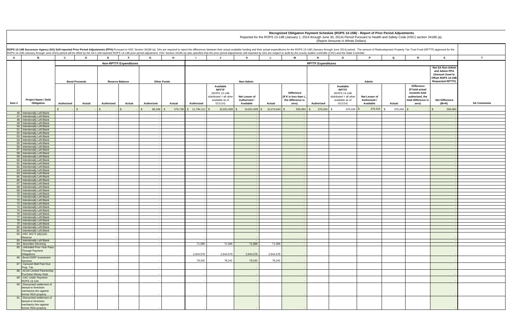**Recognized Obligation Payment Schedule (ROPS 14-15B) - Report of Prior Period Adjustments**

| r.                                                | mount of Redevelopment Property Tax Trust Fund (RPTTF) approved for the |                                                                                                           |                                                                            |                    |
|---------------------------------------------------|-------------------------------------------------------------------------|-----------------------------------------------------------------------------------------------------------|----------------------------------------------------------------------------|--------------------|
| P                                                 | Q                                                                       | R                                                                                                         | s                                                                          | T                  |
|                                                   |                                                                         |                                                                                                           | Net SA Non-Admin<br>and Admin PPA<br>(Amount Used to<br>Offset ROPS 14-15B |                    |
| Admin<br>et Lesser of<br>uthorized /<br>Available | Actual                                                                  | <b>Difference</b><br>(If total actual<br>exceeds total<br>authorized, the<br>total difference is<br>zero) | <b>Requested RPTTF)</b><br><b>Net Difference</b><br>$(M+R)$                | <b>SA Comments</b> |
| 370,434                                           | \$<br>370,434                                                           | \$<br>$\overline{\phantom{a}}$                                                                            | \$<br>556,964                                                              |                    |
|                                                   |                                                                         |                                                                                                           | $\overline{\phantom{a}}$<br>$\overline{\phantom{a}}$                       |                    |
|                                                   |                                                                         |                                                                                                           | $\blacksquare$                                                             |                    |
|                                                   |                                                                         |                                                                                                           | $\blacksquare$<br>÷,                                                       |                    |
|                                                   |                                                                         |                                                                                                           | $\blacksquare$                                                             |                    |
|                                                   |                                                                         |                                                                                                           | $\blacksquare$<br>÷,                                                       |                    |
|                                                   |                                                                         |                                                                                                           | $\overline{\phantom{a}}$                                                   |                    |
|                                                   |                                                                         |                                                                                                           | $\blacksquare$<br>÷.                                                       |                    |
|                                                   |                                                                         |                                                                                                           | $\overline{\phantom{a}}$                                                   |                    |
|                                                   |                                                                         |                                                                                                           | $\overline{\phantom{a}}$<br>÷.                                             |                    |
|                                                   |                                                                         |                                                                                                           | $\blacksquare$                                                             |                    |
|                                                   |                                                                         |                                                                                                           | ٠<br>÷.                                                                    |                    |
|                                                   |                                                                         |                                                                                                           | $\blacksquare$                                                             |                    |
|                                                   |                                                                         |                                                                                                           | ٠<br>$\blacksquare$                                                        |                    |
|                                                   |                                                                         |                                                                                                           | $\blacksquare$                                                             |                    |
|                                                   |                                                                         |                                                                                                           | $\overline{\phantom{a}}$<br>$\blacksquare$                                 |                    |
|                                                   |                                                                         |                                                                                                           | $\blacksquare$<br>$\blacksquare$                                           |                    |
|                                                   |                                                                         |                                                                                                           | $\blacksquare$                                                             |                    |
|                                                   |                                                                         |                                                                                                           | ÷,<br>$\blacksquare$                                                       |                    |
|                                                   |                                                                         |                                                                                                           | ÷,                                                                         |                    |
|                                                   |                                                                         |                                                                                                           | ÷,<br>$\blacksquare$                                                       |                    |
|                                                   |                                                                         |                                                                                                           | ÷                                                                          |                    |
|                                                   |                                                                         |                                                                                                           | ÷<br>$\blacksquare$                                                        |                    |
|                                                   |                                                                         |                                                                                                           | ÷,                                                                         |                    |
|                                                   |                                                                         |                                                                                                           | ÷.<br>$\overline{\phantom{a}}$                                             |                    |
|                                                   |                                                                         |                                                                                                           | ÷,<br>÷,                                                                   |                    |
|                                                   |                                                                         |                                                                                                           |                                                                            |                    |
|                                                   |                                                                         |                                                                                                           | $\overline{\phantom{a}}$<br>$\overline{\phantom{a}}$                       |                    |
|                                                   |                                                                         |                                                                                                           | $\overline{\phantom{a}}$                                                   |                    |
|                                                   |                                                                         |                                                                                                           | $\overline{\phantom{a}}$                                                   |                    |
|                                                   |                                                                         |                                                                                                           | $\overline{\phantom{a}}$                                                   |                    |
|                                                   |                                                                         |                                                                                                           | $\overline{\phantom{a}}$                                                   |                    |
|                                                   |                                                                         |                                                                                                           |                                                                            |                    |

Reported for the ROPS 13-14B (January 1, 2014 through June 30, 2014) Period Pursuant to Health and Safety Code (HSC) section 34186 (a)

| ROPS 13-14B Successor Agency (SA) Self-reported Prior Period Adjustments (PPA):Pursuant to HSC Section 34186 (a), SAs are required to report the differences between their actual available funding and their actual expenditu<br>ROPS 14-15B (January through June 2015) period will be offset by the SA's self-reported ROPS 13-14B prior period adjustment. HSC Section 34186 (a) also specifies that the prior period adjustments self-reported by SAs are s |                          |                      |            |                               |            |                    |                       |                                                                                                    |                                            |            |                                                                         |                           |                                                                                                      |                                            |         |                                                                                                           |                                                                                                              |               |
|------------------------------------------------------------------------------------------------------------------------------------------------------------------------------------------------------------------------------------------------------------------------------------------------------------------------------------------------------------------------------------------------------------------------------------------------------------------|--------------------------|----------------------|------------|-------------------------------|------------|--------------------|-----------------------|----------------------------------------------------------------------------------------------------|--------------------------------------------|------------|-------------------------------------------------------------------------|---------------------------|------------------------------------------------------------------------------------------------------|--------------------------------------------|---------|-----------------------------------------------------------------------------------------------------------|--------------------------------------------------------------------------------------------------------------|---------------|
| A                                                                                                                                                                                                                                                                                                                                                                                                                                                                | $\mathbf{c}$             | D                    | F.         | E                             | G          | H                  |                       | J                                                                                                  | ĸ                                          | L.         | M                                                                       |                           | $\circ$                                                                                              |                                            | Q       | R.                                                                                                        | s                                                                                                            |               |
|                                                                                                                                                                                                                                                                                                                                                                                                                                                                  |                          |                      |            | <b>Non-RPTTF Expenditures</b> |            |                    |                       |                                                                                                    |                                            |            |                                                                         | <b>RPTTF Expenditures</b> |                                                                                                      |                                            |         |                                                                                                           |                                                                                                              |               |
|                                                                                                                                                                                                                                                                                                                                                                                                                                                                  |                          | <b>Bond Proceeds</b> |            | <b>Reserve Balance</b>        |            | <b>Other Funds</b> |                       |                                                                                                    | Non-Admin                                  |            |                                                                         |                           |                                                                                                      | Admin                                      |         |                                                                                                           | <b>Net SA Non-Admin</b><br>and Admin PPA<br>(Amount Used to<br>Offset ROPS 14-15B<br><b>Requested RPTTF)</b> |               |
| <b>Project Name / Debt</b><br>ltem #<br>Obligation                                                                                                                                                                                                                                                                                                                                                                                                               | Authorized               | <b>Actual</b>        | Authorized | Actual                        | Authorized | Actual             | Authorized            | Available<br><b>RPTTF</b><br>(ROPS 13-14B<br>distributed + all other<br>available as of<br>01/1/14 | Net Lesser of<br>Authorized /<br>Available | Actual     | <b>Difference</b><br>(If K is less than L<br>the difference is<br>zero) | Authorized                | Available<br><b>RPTTF</b><br>(ROPS 13-14B)<br>distributed + all other<br>available as of<br>01/1/14) | Net Lesser of<br>Authorized /<br>Available | Actual  | <b>Difference</b><br>(If total actual<br>exceeds total<br>authorized, the<br>total difference is<br>zero) | <b>Net Difference</b><br>$(M+R)$                                                                             | <b>SA Com</b> |
|                                                                                                                                                                                                                                                                                                                                                                                                                                                                  |                          |                      |            |                               | 86,248     |                    | 575,738 \$ 11,794,111 | 10,831,608                                                                                         | 10,831,608                                 | 10,274,644 | 556,964                                                                 | 370,434                   | 370,434                                                                                              | 370,434                                    | 370,434 |                                                                                                           | 556,964                                                                                                      |               |
| 46 Intentionally Left Blank<br>47 Intentionally Left Blank                                                                                                                                                                                                                                                                                                                                                                                                       |                          |                      |            |                               |            |                    |                       |                                                                                                    |                                            |            | $\sim$                                                                  |                           |                                                                                                      |                                            |         |                                                                                                           |                                                                                                              |               |
| 48 Intentionally Left Blank                                                                                                                                                                                                                                                                                                                                                                                                                                      |                          |                      |            |                               |            |                    |                       |                                                                                                    |                                            |            | $\sim$                                                                  |                           |                                                                                                      |                                            |         |                                                                                                           |                                                                                                              |               |
| 49 Intentionally Left Blank                                                                                                                                                                                                                                                                                                                                                                                                                                      |                          |                      |            |                               |            |                    |                       |                                                                                                    | $\sim$                                     |            | $\sim$                                                                  |                           |                                                                                                      |                                            |         |                                                                                                           |                                                                                                              |               |
| 50 Intentionally Left Blank<br>51 Intentionally Left Blank                                                                                                                                                                                                                                                                                                                                                                                                       |                          |                      |            |                               |            |                    |                       |                                                                                                    | $\sim$                                     |            | $\sim$                                                                  |                           |                                                                                                      |                                            |         |                                                                                                           |                                                                                                              |               |
| 52 Intentionally Left Blank                                                                                                                                                                                                                                                                                                                                                                                                                                      | $\overline{\phantom{a}}$ |                      |            |                               |            |                    |                       |                                                                                                    | $\sim$                                     |            | $\sim$ $-$                                                              |                           |                                                                                                      |                                            |         |                                                                                                           |                                                                                                              |               |
| 53 Intentionally Left Blank<br>54 Intentionally Left Blank                                                                                                                                                                                                                                                                                                                                                                                                       |                          |                      |            |                               |            |                    |                       |                                                                                                    | $\sim$                                     |            | $\sim$                                                                  |                           |                                                                                                      |                                            |         |                                                                                                           |                                                                                                              |               |
| 55 Intentionally Left Blank                                                                                                                                                                                                                                                                                                                                                                                                                                      | $\sim$                   |                      |            |                               |            |                    |                       |                                                                                                    | $\sim$ $-$                                 |            | $\sim$ $-$                                                              |                           |                                                                                                      |                                            |         |                                                                                                           |                                                                                                              |               |
| 56 Intentionally Left Blank                                                                                                                                                                                                                                                                                                                                                                                                                                      |                          |                      |            |                               |            |                    |                       |                                                                                                    |                                            |            |                                                                         |                           |                                                                                                      |                                            |         |                                                                                                           |                                                                                                              |               |
| 57 Intentionally Left Blank<br>58 Intentionally Left Blank                                                                                                                                                                                                                                                                                                                                                                                                       |                          |                      |            |                               |            |                    |                       |                                                                                                    |                                            |            |                                                                         |                           |                                                                                                      |                                            |         |                                                                                                           |                                                                                                              |               |
| 59 Intentionally Left Blank                                                                                                                                                                                                                                                                                                                                                                                                                                      |                          |                      |            |                               |            |                    |                       |                                                                                                    |                                            |            | $\sim$                                                                  |                           |                                                                                                      |                                            |         |                                                                                                           |                                                                                                              |               |
| 60 Intentionally Left Blank<br>61 Intentionally Left Blank                                                                                                                                                                                                                                                                                                                                                                                                       |                          |                      |            |                               |            |                    |                       |                                                                                                    | $\sim$                                     |            | $\sim$                                                                  |                           |                                                                                                      |                                            |         |                                                                                                           |                                                                                                              |               |
| 62 Intentionally Left Blank                                                                                                                                                                                                                                                                                                                                                                                                                                      |                          |                      |            |                               |            |                    |                       |                                                                                                    | $\sim$                                     |            | $\sim$                                                                  |                           |                                                                                                      |                                            |         |                                                                                                           |                                                                                                              |               |
| 63 Intentionally Left Blank                                                                                                                                                                                                                                                                                                                                                                                                                                      |                          |                      |            |                               |            |                    |                       |                                                                                                    |                                            |            |                                                                         |                           |                                                                                                      |                                            |         |                                                                                                           |                                                                                                              |               |
| 64 Intentionally Left Blank<br>65 Intentionally Left Blank                                                                                                                                                                                                                                                                                                                                                                                                       | $\sim$                   |                      |            |                               |            |                    |                       |                                                                                                    | $\sim$ $-$<br>$\sim$ $-$                   |            | $\sim$ $-$<br>$\sim$                                                    |                           |                                                                                                      |                                            |         |                                                                                                           |                                                                                                              |               |
| 66 Intentionally Left Blank                                                                                                                                                                                                                                                                                                                                                                                                                                      |                          |                      |            |                               |            |                    |                       |                                                                                                    | $\sim$                                     |            | $\sim$ $-$                                                              |                           |                                                                                                      |                                            |         |                                                                                                           |                                                                                                              |               |
| 67 Intentionally Left Blank<br>68 Intentionally Left Blank                                                                                                                                                                                                                                                                                                                                                                                                       | $\sim$                   |                      |            |                               |            |                    |                       |                                                                                                    | $\sim$ $-$                                 |            | $\sim$ $-$                                                              |                           |                                                                                                      |                                            |         |                                                                                                           |                                                                                                              |               |
| 69 Intentionally Left Blank                                                                                                                                                                                                                                                                                                                                                                                                                                      |                          |                      |            |                               |            |                    |                       |                                                                                                    |                                            |            |                                                                         |                           |                                                                                                      |                                            |         |                                                                                                           |                                                                                                              |               |
| 70 Intentionally Left Blank                                                                                                                                                                                                                                                                                                                                                                                                                                      |                          |                      |            |                               |            |                    |                       |                                                                                                    |                                            |            |                                                                         |                           |                                                                                                      |                                            |         |                                                                                                           |                                                                                                              |               |
| 71 Intentionally Left Blank<br>72 Intentionally Left Blank                                                                                                                                                                                                                                                                                                                                                                                                       | $\sim$                   |                      |            |                               |            |                    |                       |                                                                                                    | $\sim$ $-$                                 |            | $\sim$ $-$                                                              |                           |                                                                                                      |                                            |         |                                                                                                           |                                                                                                              |               |
| 73 Intentionally Left Blank                                                                                                                                                                                                                                                                                                                                                                                                                                      |                          |                      |            |                               |            |                    |                       |                                                                                                    |                                            |            |                                                                         |                           |                                                                                                      |                                            |         |                                                                                                           |                                                                                                              |               |
| 74 Intentionally Left Blank<br>75 Intentionally Left Blank                                                                                                                                                                                                                                                                                                                                                                                                       | $\sim$                   |                      |            |                               |            |                    |                       |                                                                                                    | $\sim$<br>$\sim$                           |            | $\sim$ $-$                                                              |                           |                                                                                                      |                                            |         |                                                                                                           |                                                                                                              |               |
| 76 Intentionally Left Blank                                                                                                                                                                                                                                                                                                                                                                                                                                      |                          |                      |            |                               |            |                    |                       |                                                                                                    |                                            |            |                                                                         |                           |                                                                                                      |                                            |         |                                                                                                           |                                                                                                              |               |
| 77 Intentionally Left Blank                                                                                                                                                                                                                                                                                                                                                                                                                                      | $\sim$ $-$               |                      |            |                               |            |                    |                       |                                                                                                    | $\sim$ $-$                                 |            | $\sim$ $-$                                                              |                           |                                                                                                      |                                            |         |                                                                                                           |                                                                                                              |               |
| 78 Intentionally Left Blank<br>79 Intentionally Left Blank                                                                                                                                                                                                                                                                                                                                                                                                       |                          |                      |            |                               |            |                    |                       |                                                                                                    |                                            |            |                                                                         |                           |                                                                                                      |                                            |         |                                                                                                           |                                                                                                              |               |
| 80 Intentionally Left Blank                                                                                                                                                                                                                                                                                                                                                                                                                                      | $\sim$                   |                      |            |                               |            |                    |                       |                                                                                                    | $\sim$ $-$                                 |            | $\sim$ $-$                                                              |                           |                                                                                                      |                                            |         |                                                                                                           |                                                                                                              |               |
| 81 Intentionally Left Blank<br>82 HSC 34171 (d)(1)(A)                                                                                                                                                                                                                                                                                                                                                                                                            |                          |                      |            |                               |            |                    |                       |                                                                                                    |                                            |            |                                                                         |                           |                                                                                                      |                                            |         |                                                                                                           |                                                                                                              |               |
| Reserve                                                                                                                                                                                                                                                                                                                                                                                                                                                          |                          |                      |            |                               |            |                    |                       |                                                                                                    |                                            |            |                                                                         |                           |                                                                                                      |                                            |         |                                                                                                           |                                                                                                              |               |
| 83 Intentionally Left Blank<br>84 Securities Servicing                                                                                                                                                                                                                                                                                                                                                                                                           |                          |                      |            |                               |            |                    | 71,089                | 71,089                                                                                             | 71,089                                     | 71,089     |                                                                         |                           |                                                                                                      |                                            |         |                                                                                                           |                                                                                                              |               |
| 85 Unfunded Prior-Year Pass-                                                                                                                                                                                                                                                                                                                                                                                                                                     |                          |                      |            |                               |            |                    |                       |                                                                                                    |                                            |            |                                                                         |                           |                                                                                                      |                                            |         |                                                                                                           |                                                                                                              |               |
| <b>Through Payment</b><br>Obligations                                                                                                                                                                                                                                                                                                                                                                                                                            |                          |                      |            |                               |            |                    | 2,644,578             | 2,644,578                                                                                          | 2,644,578                                  | 2,644,578  |                                                                         |                           |                                                                                                      |                                            |         |                                                                                                           |                                                                                                              |               |
| 86 Bond DSRF Investment<br>Services                                                                                                                                                                                                                                                                                                                                                                                                                              |                          |                      |            |                               |            |                    | 78,242                | 78,242                                                                                             | 78,242                                     | 78,242     |                                                                         |                           |                                                                                                      |                                            |         |                                                                                                           |                                                                                                              |               |
| 87 Carousel Mall Past Due<br>Prop. Tax                                                                                                                                                                                                                                                                                                                                                                                                                           |                          |                      |            |                               |            |                    |                       |                                                                                                    |                                            |            |                                                                         |                           |                                                                                                      |                                            |         |                                                                                                           |                                                                                                              |               |
| 88 ACAA Limited Partnership                                                                                                                                                                                                                                                                                                                                                                                                                                      |                          |                      |            |                               |            |                    |                       |                                                                                                    |                                            |            |                                                                         |                           |                                                                                                      |                                            |         |                                                                                                           |                                                                                                              |               |
| Purchase Money Note<br>89 CAC Under Payment                                                                                                                                                                                                                                                                                                                                                                                                                      |                          |                      |            |                               |            |                    |                       |                                                                                                    |                                            |            |                                                                         |                           |                                                                                                      |                                            |         |                                                                                                           |                                                                                                              |               |
| <b>ROPS 13-14A</b><br>90 Discounted settlement of                                                                                                                                                                                                                                                                                                                                                                                                                |                          |                      |            |                               |            |                    |                       |                                                                                                    |                                            |            |                                                                         |                           |                                                                                                      |                                            |         |                                                                                                           |                                                                                                              |               |
| lawsuit to foreclose                                                                                                                                                                                                                                                                                                                                                                                                                                             |                          |                      |            |                               |            |                    |                       |                                                                                                    |                                            |            |                                                                         |                           |                                                                                                      |                                            |         |                                                                                                           |                                                                                                              |               |
| mechanics lien against                                                                                                                                                                                                                                                                                                                                                                                                                                           |                          |                      |            |                               |            |                    |                       |                                                                                                    |                                            |            |                                                                         |                           |                                                                                                      |                                            |         |                                                                                                           |                                                                                                              |               |
| former RDA property<br>91 Discounted settlement of                                                                                                                                                                                                                                                                                                                                                                                                               |                          |                      |            |                               |            |                    |                       |                                                                                                    |                                            |            |                                                                         |                           |                                                                                                      |                                            |         |                                                                                                           |                                                                                                              |               |
| lawsuit to foreclose                                                                                                                                                                                                                                                                                                                                                                                                                                             |                          |                      |            |                               |            |                    |                       |                                                                                                    |                                            |            |                                                                         |                           |                                                                                                      |                                            |         |                                                                                                           |                                                                                                              |               |
| mechanics lien against<br>former RDA property                                                                                                                                                                                                                                                                                                                                                                                                                    |                          |                      |            |                               |            |                    |                       |                                                                                                    |                                            |            |                                                                         |                           |                                                                                                      |                                            |         |                                                                                                           |                                                                                                              |               |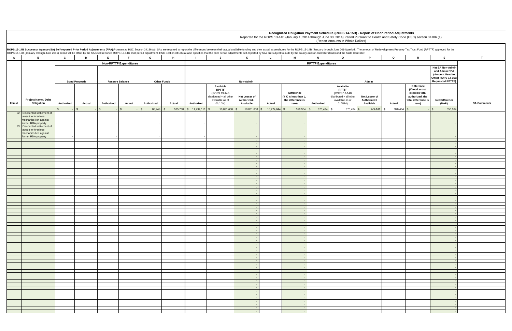### **Recognized Obligation Payment Schedule (ROPS 14-15B) - Report of Prior Period Adjustments**

| r.                                       | mount of Redevelopment Property Tax Trust Fund (RPTTF) approved for the |                                                                                                           |                                                                                                       |                    |
|------------------------------------------|-------------------------------------------------------------------------|-----------------------------------------------------------------------------------------------------------|-------------------------------------------------------------------------------------------------------|--------------------|
| P                                        | Q                                                                       | R                                                                                                         | s                                                                                                     | T                  |
| Admin                                    |                                                                         |                                                                                                           | Net SA Non-Admin<br>and Admin PPA<br>(Amount Used to<br>Offset ROPS 14-15B<br><b>Requested RPTTF)</b> |                    |
| et Lesser of<br>uthorized /<br>Available | Actual                                                                  | <b>Difference</b><br>(If total actual<br>exceeds total<br>authorized, the<br>total difference is<br>zero) | <b>Net Difference</b><br>$(M+R)$                                                                      | <b>SA Comments</b> |
| 370,434                                  | \$<br>370,434                                                           | \$<br>$\qquad \qquad \blacksquare$                                                                        | $\boldsymbol{\$}$<br>556,964                                                                          |                    |
|                                          |                                                                         |                                                                                                           | ÷                                                                                                     |                    |
|                                          |                                                                         |                                                                                                           | $\overline{\phantom{a}}$<br>÷                                                                         |                    |
|                                          |                                                                         |                                                                                                           | ÷,                                                                                                    |                    |
|                                          |                                                                         |                                                                                                           | $\blacksquare$<br>÷                                                                                   |                    |
|                                          |                                                                         |                                                                                                           | $\blacksquare$                                                                                        |                    |
|                                          |                                                                         |                                                                                                           | $\blacksquare$<br>÷                                                                                   |                    |
|                                          |                                                                         |                                                                                                           | $\blacksquare$                                                                                        |                    |
|                                          |                                                                         |                                                                                                           | ÷.<br>÷                                                                                               |                    |
|                                          |                                                                         |                                                                                                           | $\blacksquare$<br>÷.                                                                                  |                    |
|                                          |                                                                         |                                                                                                           | ÷                                                                                                     |                    |
|                                          |                                                                         |                                                                                                           | $\overline{\phantom{a}}$<br>÷,                                                                        |                    |
|                                          |                                                                         |                                                                                                           | ÷                                                                                                     |                    |
|                                          |                                                                         |                                                                                                           | $\blacksquare$<br>÷,                                                                                  |                    |
|                                          |                                                                         |                                                                                                           | $\overline{\phantom{a}}$                                                                              |                    |
|                                          |                                                                         |                                                                                                           | ÷,<br>÷.                                                                                              |                    |
|                                          |                                                                         |                                                                                                           | $\overline{\phantom{a}}$                                                                              |                    |
|                                          |                                                                         |                                                                                                           | $\overline{\phantom{a}}$<br>÷.                                                                        |                    |
|                                          |                                                                         |                                                                                                           | $\overline{\phantom{a}}$<br>٠                                                                         |                    |
|                                          |                                                                         |                                                                                                           | ÷                                                                                                     |                    |
|                                          |                                                                         |                                                                                                           | $\overline{\phantom{a}}$<br>$\overline{\phantom{a}}$                                                  |                    |
|                                          |                                                                         |                                                                                                           | $\overline{\phantom{a}}$                                                                              |                    |
|                                          |                                                                         |                                                                                                           | $\blacksquare$<br>$\blacksquare$                                                                      |                    |
|                                          |                                                                         |                                                                                                           | ÷                                                                                                     |                    |
|                                          |                                                                         |                                                                                                           | ÷,<br>$\blacksquare$                                                                                  |                    |
|                                          |                                                                         |                                                                                                           | $\overline{\phantom{a}}$<br>÷,                                                                        |                    |
|                                          |                                                                         |                                                                                                           | ÷                                                                                                     |                    |
|                                          |                                                                         |                                                                                                           | $\blacksquare$<br>÷,                                                                                  |                    |
|                                          |                                                                         |                                                                                                           | ÷,                                                                                                    |                    |
|                                          |                                                                         |                                                                                                           | ÷<br>$\overline{\phantom{a}}$                                                                         |                    |
|                                          |                                                                         |                                                                                                           | ÷,                                                                                                    |                    |
|                                          |                                                                         |                                                                                                           | ÷.<br>$\blacksquare$                                                                                  |                    |
|                                          |                                                                         |                                                                                                           | ÷,                                                                                                    |                    |
|                                          |                                                                         |                                                                                                           | ÷.<br>$\blacksquare$                                                                                  |                    |
|                                          |                                                                         |                                                                                                           | $\blacksquare$                                                                                        |                    |
|                                          |                                                                         |                                                                                                           | ÷<br>÷,                                                                                               |                    |

Reported for the ROPS 13-14B (January 1, 2014 through June 30, 2014) Period Pursuant to Health and Safety Code (HSC) section 34186 (a)

|        | ROPS 13-14B Successor Agency (SA) Self-reported Prior Period Adjustments (PPA):Pursuant to HSC Section 34186 (a), SAs are required to report the differences between their actual available funding and their actual expenditu |              |                      |              |                               |                       |                    |                          |                                                                                                     |                                            |                          |                                                                          |                           |                                                                                                     |                                            |         |                                                                                                           |                                                                                                       |               |
|--------|--------------------------------------------------------------------------------------------------------------------------------------------------------------------------------------------------------------------------------|--------------|----------------------|--------------|-------------------------------|-----------------------|--------------------|--------------------------|-----------------------------------------------------------------------------------------------------|--------------------------------------------|--------------------------|--------------------------------------------------------------------------|---------------------------|-----------------------------------------------------------------------------------------------------|--------------------------------------------|---------|-----------------------------------------------------------------------------------------------------------|-------------------------------------------------------------------------------------------------------|---------------|
| A      | B                                                                                                                                                                                                                              | $\mathbf{c}$ | D                    | E            | E.                            | G                     | H                  | - 1                      | J                                                                                                   | K                                          | $\mathbf{L}$             | M                                                                        | $\mathbf N$               | $\circ$                                                                                             | P.                                         | Q       | $\mathbb{R}$                                                                                              | <b>S</b>                                                                                              | $\mathbf{T}$  |
|        |                                                                                                                                                                                                                                |              |                      |              | <b>Non-RPTTF Expenditures</b> |                       |                    |                          |                                                                                                     |                                            |                          |                                                                          | <b>RPTTF Expenditures</b> |                                                                                                     |                                            |         |                                                                                                           |                                                                                                       |               |
|        |                                                                                                                                                                                                                                |              | <b>Bond Proceeds</b> |              | <b>Reserve Balance</b>        |                       | <b>Other Funds</b> |                          |                                                                                                     | Non-Admin                                  |                          |                                                                          |                           |                                                                                                     | Admin                                      |         |                                                                                                           | Net SA Non-Admin<br>and Admin PPA<br>(Amount Used to<br>Offset ROPS 14-15B<br><b>Requested RPTTF)</b> |               |
| Item # | <b>Project Name / Debt</b><br>Obligation                                                                                                                                                                                       | Authorized   | Actual               | Authorized   | Actual                        | Authorized            | Actual             | Authorized               | Available<br><b>RPTTF</b><br>(ROPS 13-14B<br>distributed + all other<br>available as of<br>01/1/14) | Net Lesser of<br>Authorized /<br>Available | Actual                   | <b>Difference</b><br>(If K is less than L,<br>the difference is<br>zero) | Authorized                | Available<br><b>RPTTF</b><br>(ROPS 13-14B<br>distributed + all other<br>available as of<br>01/1/14) | Net Lesser of<br>Authorized /<br>Available | Actual  | <b>Difference</b><br>(If total actual<br>exceeds total<br>authorized, the<br>total difference is<br>zero) | <b>Net Difference</b><br>$(M+R)$                                                                      | <b>SA Com</b> |
|        |                                                                                                                                                                                                                                |              |                      | $\mathbf{s}$ | $\mathbb{S}$                  | 86,248 \$<br><b>S</b> |                    | 575,738 \$ 11,794,111 \$ | 10,831,608 \$                                                                                       |                                            | 10,831,608 \$ 10,274,644 | 556,964                                                                  | 370,434<br>$\mathfrak s$  | $370,434$ \$<br>\$                                                                                  | 370,434 \$                                 | 370,434 | $\mathbb{S}$                                                                                              | 556,964                                                                                               |               |
|        | 92 Discounted settlement of<br>lawsuit to foreclose<br>mechanics lien against<br>former RDA property                                                                                                                           |              |                      |              |                               |                       |                    |                          |                                                                                                     |                                            |                          |                                                                          |                           |                                                                                                     |                                            |         |                                                                                                           |                                                                                                       |               |
|        | 93 Discounted settlement of<br>lawsuit to foreclose<br>mechanics lien against<br>former RDA property                                                                                                                           |              |                      |              |                               |                       |                    |                          |                                                                                                     |                                            |                          |                                                                          |                           |                                                                                                     |                                            |         |                                                                                                           |                                                                                                       |               |
|        |                                                                                                                                                                                                                                |              |                      |              |                               |                       |                    |                          |                                                                                                     | $\sim$                                     |                          | $\sim$ $-$<br>. –                                                        |                           |                                                                                                     |                                            |         |                                                                                                           |                                                                                                       |               |
|        |                                                                                                                                                                                                                                |              |                      |              |                               |                       |                    |                          |                                                                                                     | $\sim$                                     |                          | $\sim$ $-$<br>$\sim$ $-$                                                 |                           |                                                                                                     |                                            |         |                                                                                                           |                                                                                                       |               |
|        |                                                                                                                                                                                                                                |              |                      |              |                               |                       |                    |                          |                                                                                                     | $\sim$                                     |                          | $\sim$ $-$                                                               |                           |                                                                                                     |                                            |         |                                                                                                           |                                                                                                       |               |
|        |                                                                                                                                                                                                                                |              |                      |              |                               |                       |                    |                          |                                                                                                     |                                            |                          |                                                                          |                           |                                                                                                     |                                            |         |                                                                                                           |                                                                                                       |               |
|        |                                                                                                                                                                                                                                |              |                      |              |                               |                       |                    |                          |                                                                                                     | $\sim$                                     |                          | $\sim$ $-$                                                               |                           |                                                                                                     |                                            |         |                                                                                                           |                                                                                                       |               |
|        |                                                                                                                                                                                                                                |              |                      |              |                               |                       |                    |                          |                                                                                                     |                                            |                          | $\sim$<br>$\sim$ $-$                                                     |                           |                                                                                                     |                                            |         |                                                                                                           |                                                                                                       |               |
|        |                                                                                                                                                                                                                                |              |                      |              |                               |                       |                    |                          |                                                                                                     | $\sim$                                     |                          | $\sim$ $\sim$<br>$\sim$                                                  |                           |                                                                                                     |                                            |         |                                                                                                           |                                                                                                       |               |
|        |                                                                                                                                                                                                                                |              |                      |              |                               |                       |                    |                          |                                                                                                     | $\sim$                                     |                          | $\sim$<br>$\sim 10^{-1}$                                                 |                           |                                                                                                     |                                            |         |                                                                                                           |                                                                                                       |               |
|        |                                                                                                                                                                                                                                |              |                      |              |                               |                       |                    |                          |                                                                                                     |                                            |                          | . –<br>$\sim$                                                            |                           |                                                                                                     |                                            |         |                                                                                                           |                                                                                                       |               |
|        |                                                                                                                                                                                                                                |              |                      |              |                               |                       |                    |                          |                                                                                                     |                                            |                          | $\sim$ $-$                                                               |                           |                                                                                                     |                                            |         |                                                                                                           |                                                                                                       |               |
|        |                                                                                                                                                                                                                                |              |                      |              |                               |                       |                    |                          |                                                                                                     |                                            |                          | $\sim$<br>$\sim$ $-$                                                     |                           |                                                                                                     |                                            |         |                                                                                                           |                                                                                                       |               |
|        |                                                                                                                                                                                                                                |              |                      |              |                               |                       |                    |                          |                                                                                                     |                                            |                          | $\sim$<br>$\sim$                                                         |                           |                                                                                                     |                                            |         |                                                                                                           |                                                                                                       |               |
|        |                                                                                                                                                                                                                                |              |                      |              |                               |                       |                    |                          |                                                                                                     |                                            |                          | $\sim$<br>$\sim$                                                         |                           |                                                                                                     |                                            |         |                                                                                                           |                                                                                                       |               |
|        |                                                                                                                                                                                                                                |              |                      |              |                               |                       |                    |                          |                                                                                                     |                                            |                          | $\sim$                                                                   |                           |                                                                                                     |                                            |         |                                                                                                           |                                                                                                       |               |
|        |                                                                                                                                                                                                                                |              |                      |              |                               |                       |                    |                          |                                                                                                     |                                            |                          | $\sim$ $\sim$<br>$\sim$                                                  |                           |                                                                                                     |                                            |         |                                                                                                           |                                                                                                       |               |
|        |                                                                                                                                                                                                                                |              |                      |              |                               |                       |                    |                          |                                                                                                     |                                            |                          | . –                                                                      |                           |                                                                                                     |                                            |         |                                                                                                           |                                                                                                       |               |
|        |                                                                                                                                                                                                                                |              |                      |              |                               |                       |                    |                          |                                                                                                     |                                            |                          |                                                                          |                           |                                                                                                     |                                            |         |                                                                                                           |                                                                                                       |               |
|        |                                                                                                                                                                                                                                |              |                      |              |                               |                       |                    |                          |                                                                                                     |                                            |                          |                                                                          |                           |                                                                                                     |                                            |         |                                                                                                           |                                                                                                       |               |
|        |                                                                                                                                                                                                                                |              |                      |              |                               |                       |                    |                          |                                                                                                     |                                            |                          |                                                                          |                           |                                                                                                     |                                            |         |                                                                                                           |                                                                                                       |               |
|        |                                                                                                                                                                                                                                |              |                      |              |                               |                       |                    |                          |                                                                                                     |                                            |                          |                                                                          |                           |                                                                                                     |                                            |         |                                                                                                           |                                                                                                       |               |
|        |                                                                                                                                                                                                                                |              |                      |              |                               |                       |                    |                          |                                                                                                     |                                            |                          |                                                                          |                           |                                                                                                     |                                            |         |                                                                                                           |                                                                                                       |               |
|        |                                                                                                                                                                                                                                |              |                      |              |                               |                       |                    |                          |                                                                                                     |                                            |                          |                                                                          |                           |                                                                                                     |                                            |         |                                                                                                           |                                                                                                       |               |
|        |                                                                                                                                                                                                                                |              |                      |              |                               |                       |                    |                          |                                                                                                     |                                            |                          |                                                                          |                           |                                                                                                     |                                            |         |                                                                                                           |                                                                                                       |               |
|        |                                                                                                                                                                                                                                |              |                      |              |                               |                       |                    |                          |                                                                                                     |                                            |                          |                                                                          |                           |                                                                                                     |                                            |         |                                                                                                           |                                                                                                       |               |
|        |                                                                                                                                                                                                                                |              |                      |              |                               |                       |                    |                          |                                                                                                     |                                            |                          |                                                                          |                           |                                                                                                     |                                            |         |                                                                                                           |                                                                                                       |               |
|        |                                                                                                                                                                                                                                |              |                      |              |                               |                       |                    |                          |                                                                                                     |                                            |                          |                                                                          |                           |                                                                                                     |                                            |         |                                                                                                           |                                                                                                       |               |
|        |                                                                                                                                                                                                                                |              |                      |              |                               |                       |                    |                          |                                                                                                     |                                            |                          |                                                                          |                           |                                                                                                     |                                            |         |                                                                                                           |                                                                                                       |               |
|        |                                                                                                                                                                                                                                |              |                      |              |                               |                       |                    |                          |                                                                                                     |                                            |                          |                                                                          |                           |                                                                                                     |                                            |         |                                                                                                           |                                                                                                       |               |
|        |                                                                                                                                                                                                                                |              |                      |              |                               |                       |                    |                          |                                                                                                     |                                            |                          |                                                                          |                           |                                                                                                     |                                            |         |                                                                                                           |                                                                                                       |               |
|        |                                                                                                                                                                                                                                |              |                      |              |                               |                       |                    |                          |                                                                                                     |                                            |                          |                                                                          |                           |                                                                                                     |                                            |         |                                                                                                           |                                                                                                       |               |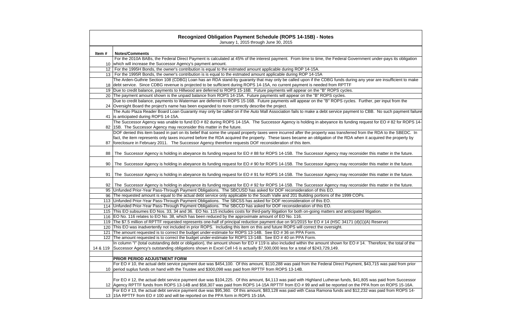|          | <b>Recognized Obligation Payment Schedule (ROPS 14-15B) - Notes</b><br>January 1, 2015 through June 30, 2015                                                                                                                                                                                    |
|----------|-------------------------------------------------------------------------------------------------------------------------------------------------------------------------------------------------------------------------------------------------------------------------------------------------|
|          |                                                                                                                                                                                                                                                                                                 |
| Item#    | <b>Notes/Comments</b>                                                                                                                                                                                                                                                                           |
|          | For the 2010A BABs, the Federal Direct Payment is calculated at 45% of the interest payment. From time to time, the Federal Government under-pays its obligation                                                                                                                                |
|          | 10 which will increase the Successor Agency's payment amount.                                                                                                                                                                                                                                   |
|          | 12   For the 1995H Bonds, the owner's contribution is equal to the estmated amount applicable during ROP 14-15A.                                                                                                                                                                                |
|          | 13   For the 1995R Bonds, the owner's contribution is is equal to the estmated amount applicable during ROP 14-15A                                                                                                                                                                              |
|          | The Arden-Guthrie Section 108 (CDBG) Loan has an RDA stand-by quaranty that may only be called upon if the CDBG funds during any year are insufficient to make<br>18 debt service. Since CDBG revenue is projected to be sufficient during ROPS 14-15A, no current payment is needed from RPTTF |
|          | 19 Due to credit balance, payments to Hillwood are deferred to ROPS 15-16B. Future payments will appear on the "B" ROPS cycles.                                                                                                                                                                 |
|          | 20 The payment amount shown is the unpaid balance from ROPS 14-15A. Future payments will appear on the "B" ROPS cycles.                                                                                                                                                                         |
|          | Due to credit balance, payments to Waterman are deferred to ROPS 15-16B. Future payments will appear on the "B" ROPS cycles. Further, per input from the                                                                                                                                        |
|          | 24 Oversight Board the project's name has been expanded to more correctly describe the project.                                                                                                                                                                                                 |
|          | The Auto Plaza Reader Board Loan Guaranty may only be called on if the Auto Mall Association fails to make a debt service payment to CBB. No such payment failure                                                                                                                               |
|          | 41 is anticipated during ROPS 14-15A.                                                                                                                                                                                                                                                           |
|          | The Successor Agency was unable to fund EO # 82 during ROPS 14-15A. The Successor Agency is holding in abeyance its funding request for EO # 82 for ROPS 14-                                                                                                                                    |
|          | 82   15B. The Successor Agency may reconsider this matter in the future.                                                                                                                                                                                                                        |
|          | DOF denied this item based in part on its belief that some the unpaid property taxes were incurred after the property was transferred from the RDA to the SBEDC. In                                                                                                                             |
|          | fact, the item represents only taxes incurred before the RDA acquired the property. These taxes became an obligation of the RDA when it acquired the property by                                                                                                                                |
| 87       | foreclosure in February 2011. The Successor Agency therefore requests DOF reconsideration of this item.                                                                                                                                                                                         |
|          |                                                                                                                                                                                                                                                                                                 |
| 88       | The Successor Agency is holding in abeyance its funding request for EO #88 for ROPS 14-15B. The Successor Agency may reconsider this matter in the future.                                                                                                                                      |
|          |                                                                                                                                                                                                                                                                                                 |
| 90       | The Successor Agency is holding in abeyance its funding request for EO # 90 for ROPS 14-15B. The Successor Agency may reconsider this matter in the future.                                                                                                                                     |
| 91       | The Successor Agency is holding in abeyance its funding request for EO # 91 for ROPS 14-15B. The Successor Agency may reconsider this matter in the future.                                                                                                                                     |
|          | The Successor Agency is holding in abeyance its funding request for EO # 92 for ROPS 14-15B. The Successor Agency may reconsider this matter in the future.                                                                                                                                     |
| 92       | 95 Unfunded Prior-Year Pass-Through Payment Obligations. The SBCUSD has asked for DOF reconsideration of this EO.                                                                                                                                                                               |
|          | 96 The requested amount is equal to the actual debt service only applicable to the South Valle and 201 Building portions of the 1999 COPs.                                                                                                                                                      |
|          | 113 Unfunded Prior-Year Pass-Through Payment Obligations. The SBCSS has asked for DOF reconsideration of this EO.                                                                                                                                                                               |
|          | 114 Unfunded Prior-Year Pass-Through Payment Obligations. The SBCCD has asked for DOF reconsideration of this EO.                                                                                                                                                                               |
|          | 115 This EO subsumes EO Nos. 33, 34 and 36. EO No. 115 includes costs for third-party litigation for both on-going matters and anticipated litigation.                                                                                                                                          |
|          | 116 EO No. 116 relates to EO No. 38, which has been reduced by the approximate amount of EO No. 116.                                                                                                                                                                                            |
|          | 119 The \$7.5 million of RPTTF requested represents one-half of principal reduction payment due on 9/1/2015 for EO # 14 (HSC 34171 (d)(1)(A) Reserve)                                                                                                                                           |
|          | 120 This EO was inadvertently not included in prior ROPS. Including this item on this and future ROPS will correct the oversight.                                                                                                                                                               |
| 121      | The amount requested is to correct the budget under-estimate for ROPS 13-14B. See EO #36 on PPA Form.                                                                                                                                                                                           |
|          | 122 The amount requested is to correct the budget under-estimate for ROPS 13-14B. See EO #40 on PPA Form.                                                                                                                                                                                       |
|          | In column "I" (total outstanding debt or obligation), the amount shown for EO # 119 is also included within the amount shown for EO # 14. Therefore, the total of the                                                                                                                           |
| 14 & 119 | Successor Agency's outstanding obligations shown in Excel Cell I-6 is actually \$7,500,000 less for a total of \$243,729,149.                                                                                                                                                                   |
|          |                                                                                                                                                                                                                                                                                                 |
|          | PRIOR PERIOD ADJUSTMENT FORM                                                                                                                                                                                                                                                                    |
|          | For EO # 10, the actual debt service payment due was \$454,100. Of this amount, \$110,288 was paid from the Federal Direct Payment, \$43,715 was paid from prior                                                                                                                                |
|          | 10 period suplus funds on hand with the Trustee and \$300,098 was paid from RPTTF from ROPS 13-14B.                                                                                                                                                                                             |
|          |                                                                                                                                                                                                                                                                                                 |
|          | For EO # 12, the actual debt service payment due was \$104,225. Of this amount, \$4,113 was paid with Highland Lutheran funds, \$41,805 was paid from Successor                                                                                                                                 |
|          | 12 Agency RPTTF funds from ROPS 13-14B and \$58,307 was paid from ROPS 14-15A RPTTF from EO # 99 and will be reported on the PPA from on ROPS 15-16A.                                                                                                                                           |
|          | For EO # 13, the actual debt service payment due was \$95,360. Of this amount, \$83,128 was paid with Casa Ramona funds and \$12,232 was paid from ROPS 14-                                                                                                                                     |
|          | 13 15A RPTTF from EO # 100 and will be reported on the PPA form in ROPS 15-16A.                                                                                                                                                                                                                 |
|          |                                                                                                                                                                                                                                                                                                 |